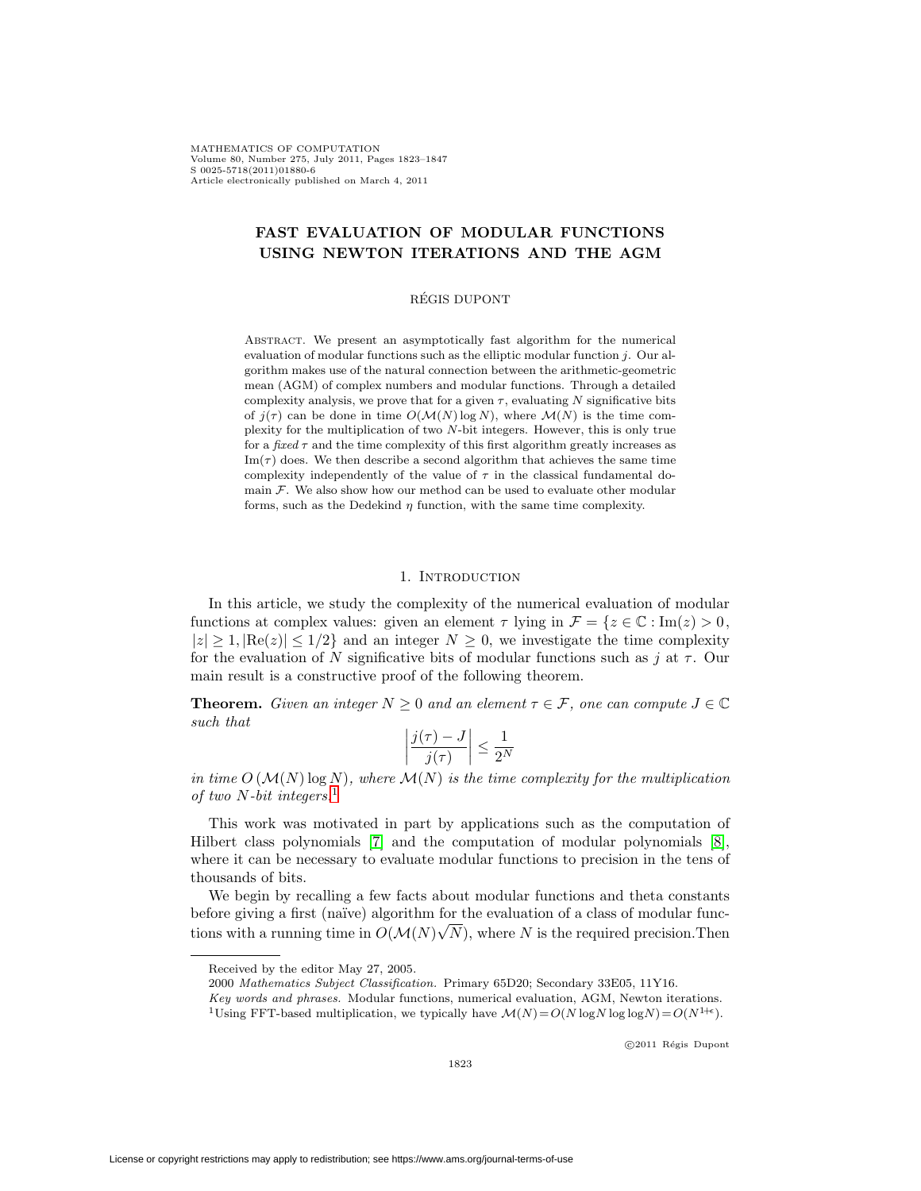MATHEMATICS OF COMPUTATION Volume 80, Number 275, July 2011, Pages 1823–1847 S 0025-5718(2011)01880-6 Article electronically published on March 4, 2011

# **FAST EVALUATION OF MODULAR FUNCTIONS USING NEWTON ITERATIONS AND THE AGM**

## REGIS DUPONT ´

Abstract. We present an asymptotically fast algorithm for the numerical evaluation of modular functions such as the elliptic modular function  $j$ . Our algorithm makes use of the natural connection between the arithmetic-geometric mean (AGM) of complex numbers and modular functions. Through a detailed complexity analysis, we prove that for a given  $\tau$ , evaluating N significative bits of  $j(\tau)$  can be done in time  $O(\mathcal{M}(N) \log N)$ , where  $\mathcal{M}(N)$  is the time complexity for the multiplication of two N-bit integers. However, this is only true for a fixed  $\tau$  and the time complexity of this first algorithm greatly increases as  $\text{Im}(\tau)$  does. We then describe a second algorithm that achieves the same time complexity independently of the value of  $\tau$  in the classical fundamental domain  $\mathcal F$ . We also show how our method can be used to evaluate other modular forms, such as the Dedekind  $\eta$  function, with the same time complexity.

## 1. INTRODUCTION

In this article, we study the complexity of the numerical evaluation of modular functions at complex values: given an element  $\tau$  lying in  $\mathcal{F} = \{z \in \mathbb{C} : \text{Im}(z) > 0, \}$  $|z| \ge 1$ ,  $|\text{Re}(z)| \le 1/2$  and an integer  $N \ge 0$ , we investigate the time complexity for the evaluation of N significative bits of modular functions such as j at  $\tau$ . Our main result is a constructive proof of the following theorem.

**Theorem.** Given an integer  $N \geq 0$  and an element  $\tau \in \mathcal{F}$ , one can compute  $J \in \mathbb{C}$ such that

$$
\left|\frac{j(\tau)-J}{j(\tau)}\right| \le \frac{1}{2^N}
$$

in time  $O(M(N) \log N)$ , where  $M(N)$  is the time complexity for the multiplication of two  $N$ -bit integers.<sup>[1](#page-0-0)</sup>

This work was motivated in part by applications such as the computation of Hilbert class polynomials [\[7\]](#page-24-0) and the computation of modular polynomials [\[8\]](#page-24-1), where it can be necessary to evaluate modular functions to precision in the tens of thousands of bits.

We begin by recalling a few facts about modular functions and theta constants before giving a first (naïve) algorithm for the evaluation of a class of modular functions with a running time in  $O(\mathcal{M}(N))$ √  $N$ , where  $N$  is the required precision. Then

Received by the editor May 27, 2005.

<sup>2000</sup> Mathematics Subject Classification. Primary 65D20; Secondary 33E05, 11Y16.

Key words and phrases. Modular functions, numerical evaluation, AGM, Newton iterations.

<span id="page-0-0"></span><sup>&</sup>lt;sup>1</sup>Using FFT-based multiplication, we typically have  $\mathcal{M}(N) = O(N \log N \log \log N) = O(N^{1+\epsilon}).$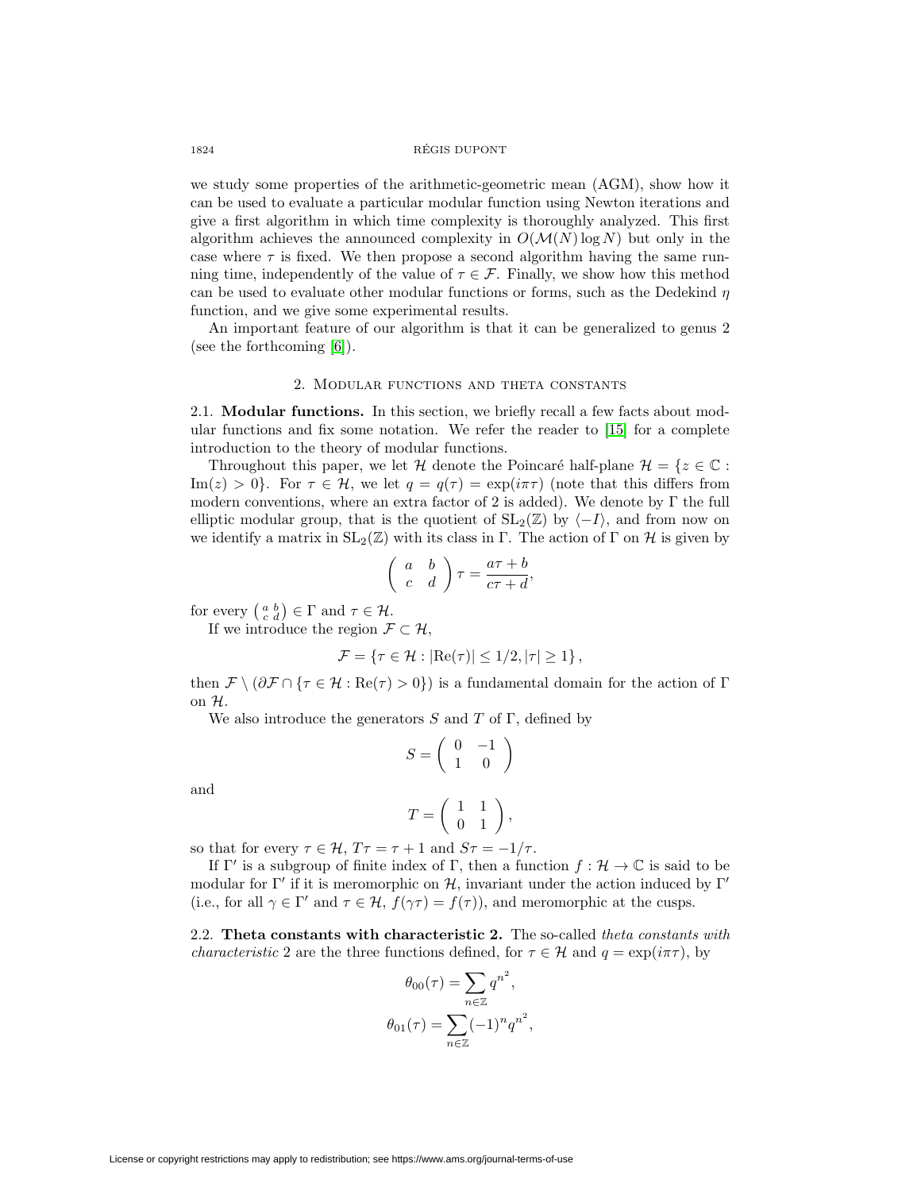### 1824 REGIS DUPONT ´

we study some properties of the arithmetic-geometric mean (AGM), show how it can be used to evaluate a particular modular function using Newton iterations and give a first algorithm in which time complexity is thoroughly analyzed. This first algorithm achieves the announced complexity in  $O(\mathcal{M}(N) \log N)$  but only in the case where  $\tau$  is fixed. We then propose a second algorithm having the same running time, independently of the value of  $\tau \in \mathcal{F}$ . Finally, we show how this method can be used to evaluate other modular functions or forms, such as the Dedekind  $\eta$ function, and we give some experimental results.

An important feature of our algorithm is that it can be generalized to genus 2 (see the forthcoming [\[6\]](#page-24-2)).

### 2. Modular functions and theta constants

2.1. **Modular functions.** In this section, we briefly recall a few facts about modular functions and fix some notation. We refer the reader to [\[15\]](#page-24-3) for a complete introduction to the theory of modular functions.

Throughout this paper, we let H denote the Poincaré half-plane  $\mathcal{H} = \{z \in \mathbb{C} :$  $\text{Im}(z) > 0$ . For  $\tau \in \mathcal{H}$ , we let  $q = q(\tau) = \exp(i\pi \tau)$  (note that this differs from modern conventions, where an extra factor of 2 is added). We denote by  $\Gamma$  the full elliptic modular group, that is the quotient of  $SL_2(\mathbb{Z})$  by  $\langle -I \rangle$ , and from now on we identify a matrix in  $SL_2(\mathbb{Z})$  with its class in Γ. The action of Γ on H is given by

$$
\left(\begin{array}{cc} a & b \\ c & d \end{array}\right)\tau = \frac{a\tau + b}{c\tau + d},
$$

for every  $\left(\begin{smallmatrix} a & b \\ c & d \end{smallmatrix}\right) \in \Gamma$  and  $\tau \in \mathcal{H}$ .

If we introduce the region  $\mathcal{F} \subset \mathcal{H}$ ,

$$
\mathcal{F} = \{ \tau \in \mathcal{H} : |\text{Re}(\tau)| \leq 1/2, |\tau| \geq 1 \},\
$$

then  $\mathcal{F} \setminus (\partial \mathcal{F} \cap {\tau \in \mathcal{H} : \text{Re}(\tau) > 0})$  is a fundamental domain for the action of  $\Gamma$ on H.

We also introduce the generators  $S$  and  $T$  of  $\Gamma$ , defined by

$$
S = \left(\begin{array}{cc} 0 & -1 \\ 1 & 0 \end{array}\right)
$$

and

$$
T=\left(\begin{array}{cc} 1 & 1 \\ 0 & 1 \end{array}\right),\,
$$

so that for every  $\tau \in \mathcal{H}$ ,  $T\tau = \tau + 1$  and  $S\tau = -1/\tau$ .

If  $\Gamma'$  is a subgroup of finite index of  $\Gamma$ , then a function  $f: \mathcal{H} \to \mathbb{C}$  is said to be modular for  $\Gamma'$  if it is meromorphic on  $\mathcal{H}$ , invariant under the action induced by  $\Gamma'$ (i.e., for all  $\gamma \in \Gamma'$  and  $\tau \in \mathcal{H}$ ,  $f(\gamma \tau) = f(\tau)$ ), and meromorphic at the cusps.

<span id="page-1-0"></span>2.2. **Theta constants with characteristic 2.** The so-called theta constants with *characteristic* 2 are the three functions defined, for  $\tau \in \mathcal{H}$  and  $q = \exp(i\pi\tau)$ , by

$$
\theta_{00}(\tau) = \sum_{n \in \mathbb{Z}} q^{n^2},
$$

$$
\theta_{01}(\tau) = \sum_{n \in \mathbb{Z}} (-1)^n q^{n^2},
$$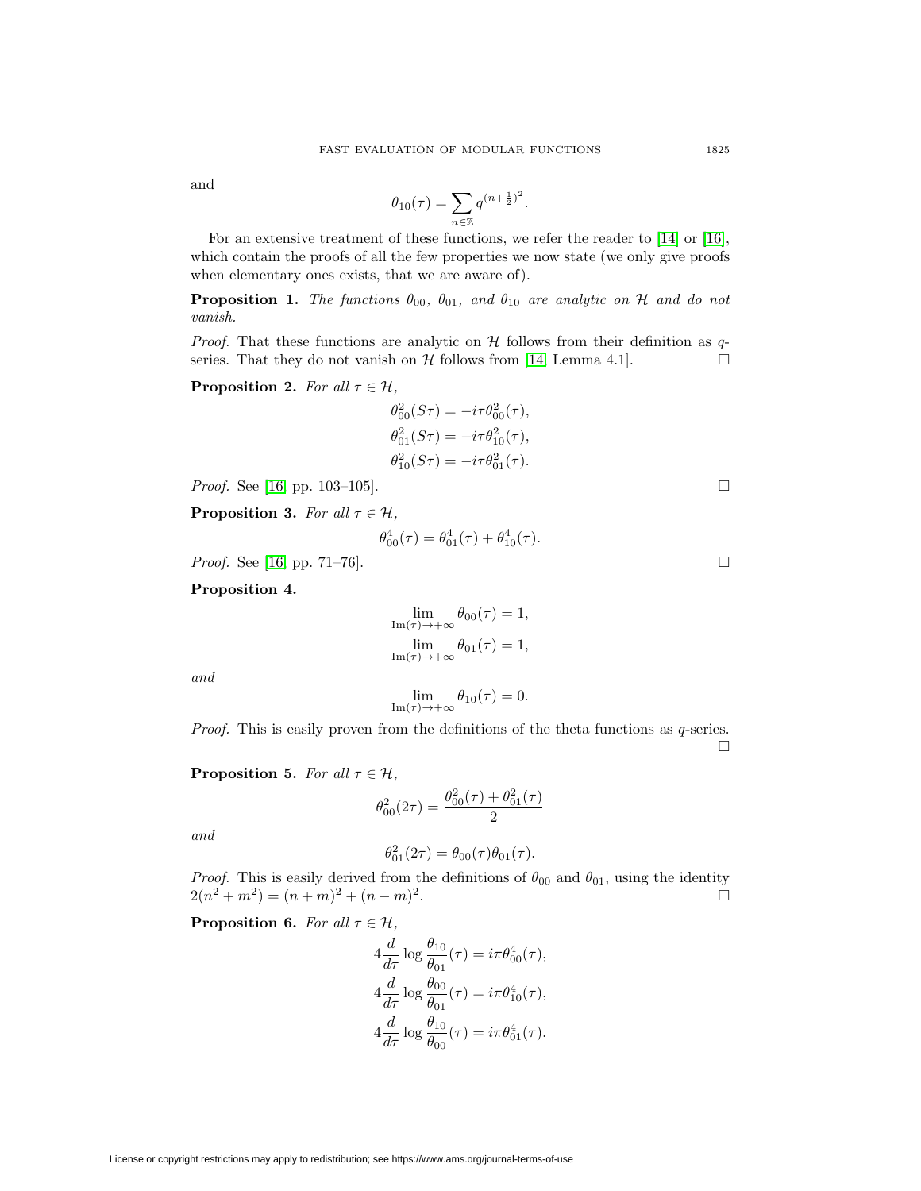and

$$
\theta_{10}(\tau) = \sum_{n \in \mathbb{Z}} q^{(n + \frac{1}{2})^2}.
$$

For an extensive treatment of these functions, we refer the reader to [\[14\]](#page-24-4) or [\[16\]](#page-24-5), which contain the proofs of all the few properties we now state (we only give proofs when elementary ones exists, that we are aware of).

**Proposition 1.** The functions  $\theta_{00}$ ,  $\theta_{01}$ , and  $\theta_{10}$  are analytic on H and do not vanish.

*Proof.* That these functions are analytic on  $H$  follows from their definition as qseries. That they do not vanish on  $\mathcal H$  follows from [\[14,](#page-24-4) Lemma 4.1].

<span id="page-2-0"></span>**Proposition 2.** For all  $\tau \in \mathcal{H}$ ,

$$
\theta_{00}^2(S\tau) = -i\tau \theta_{00}^2(\tau), \theta_{01}^2(S\tau) = -i\tau \theta_{10}^2(\tau), \theta_{10}^2(S\tau) = -i\tau \theta_{01}^2(\tau).
$$

*Proof.* See [\[16,](#page-24-5) pp. 103-105].

<span id="page-2-1"></span>**Proposition 3.** For all  $\tau \in \mathcal{H}$ ,

$$
\theta_{00}^4(\tau) = \theta_{01}^4(\tau) + \theta_{10}^4(\tau).
$$

*Proof.* See [\[16,](#page-24-5) pp. 71–76].

<span id="page-2-2"></span>**Proposition 4.**

$$
\lim_{\text{Im}(\tau) \to +\infty} \theta_{00}(\tau) = 1,
$$
  

$$
\lim_{\text{Im}(\tau) \to +\infty} \theta_{01}(\tau) = 1,
$$

and

$$
\lim_{\mathrm{Im}(\tau)\to+\infty}\theta_{10}(\tau)=0.
$$

Proof. This is easily proven from the definitions of the theta functions as q-series.  $\Box$ 

<span id="page-2-3"></span>**Proposition 5.** For all  $\tau \in \mathcal{H}$ ,

$$
\theta_{00}^2(2\tau) = \frac{\theta_{00}^2(\tau) + \theta_{01}^2(\tau)}{2}
$$

and

$$
\theta_{01}^2(2\tau) = \theta_{00}(\tau)\theta_{01}(\tau).
$$

*Proof.* This is easily derived from the definitions of  $\theta_{00}$  and  $\theta_{01}$ , using the identity  $2(n^2 + m^2) = (n + m)^2 + (n - m)^2$ .  $\Box$ 

<span id="page-2-4"></span>**Proposition 6.** For all  $\tau \in \mathcal{H}$ ,

$$
4\frac{d}{d\tau}\log\frac{\theta_{10}}{\theta_{01}}(\tau) = i\pi\theta_{00}^4(\tau),
$$
  

$$
4\frac{d}{d\tau}\log\frac{\theta_{00}}{\theta_{01}}(\tau) = i\pi\theta_{10}^4(\tau),
$$
  

$$
4\frac{d}{d\tau}\log\frac{\theta_{10}}{\theta_{00}}(\tau) = i\pi\theta_{01}^4(\tau).
$$

License or copyright restrictions may apply to redistribution; see https://www.ams.org/journal-terms-of-use

 $\Box$ 

 $\Box$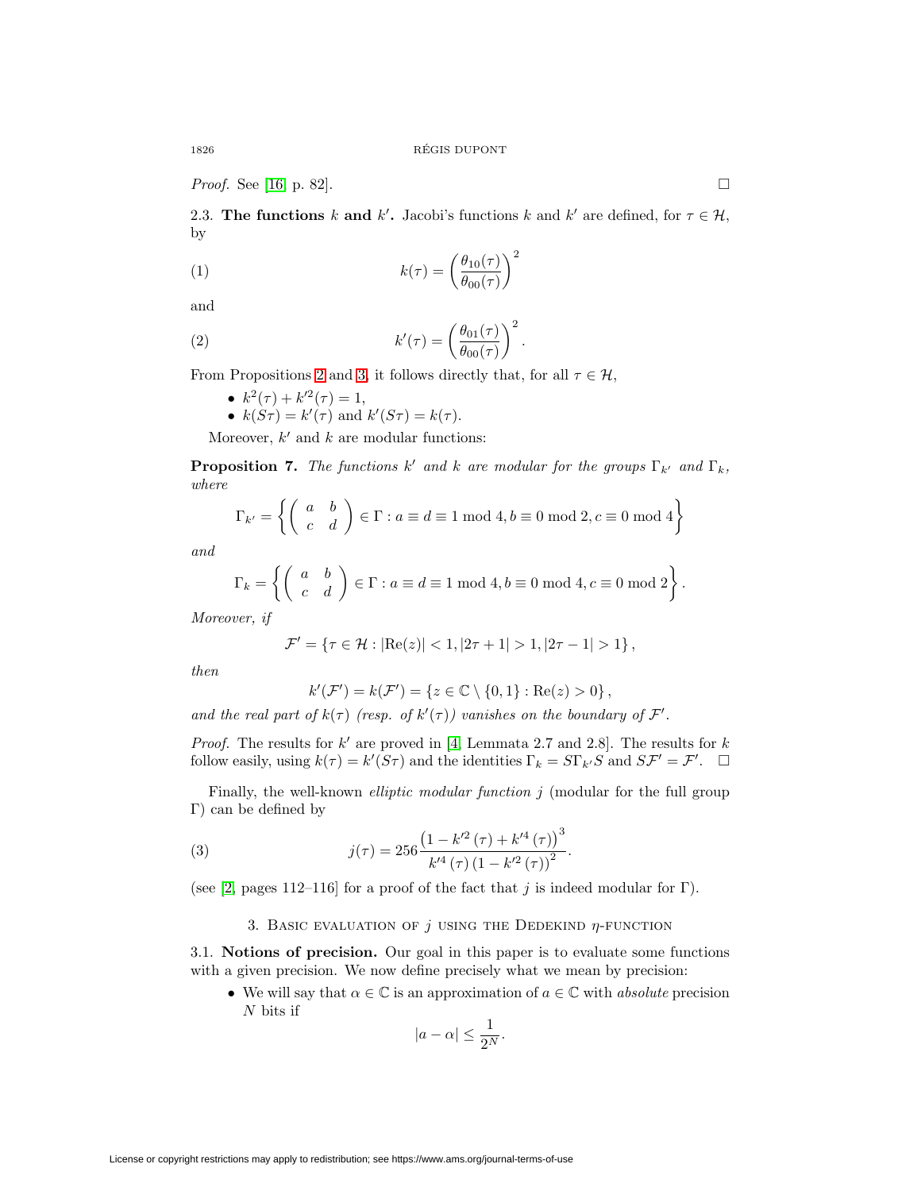<span id="page-3-2"></span>*Proof.* See [\[16,](#page-24-5) p. 82].

2.3. **The functions** k and k'. Jacobi's functions k and k' are defined, for  $\tau \in \mathcal{H}$ , by

(1) 
$$
k(\tau) = \left(\frac{\theta_{10}(\tau)}{\theta_{00}(\tau)}\right)^2
$$

and

(2) 
$$
k'(\tau) = \left(\frac{\theta_{01}(\tau)}{\theta_{00}(\tau)}\right)^2.
$$

From Propositions [2](#page-2-0) and [3,](#page-2-1) it follows directly that, for all  $\tau \in \mathcal{H}$ ,

- $k^2(\tau) + k^{\prime 2}(\tau) = 1$ ,
- $k(S\tau) = k'(\tau)$  and  $k'(S\tau) = k(\tau)$ .

Moreover,  $k'$  and  $k$  are modular functions:

**Proposition 7.** The functions k' and k are modular for the groups  $\Gamma_{k'}$  and  $\Gamma_k$ , where

$$
\Gamma_{k'} = \left\{ \left( \begin{array}{cc} a & b \\ c & d \end{array} \right) \in \Gamma : a \equiv d \equiv 1 \bmod 4, b \equiv 0 \bmod 2, c \equiv 0 \bmod 4 \right\}
$$

and

$$
\Gamma_k = \left\{ \left( \begin{array}{cc} a & b \\ c & d \end{array} \right) \in \Gamma : a \equiv d \equiv 1 \bmod 4, b \equiv 0 \bmod 4, c \equiv 0 \bmod 2 \right\}.
$$

Moreover, if

$$
\mathcal{F}' = \{ \tau \in \mathcal{H} : |\text{Re}(z)| < 1, |2\tau + 1| > 1, |2\tau - 1| > 1 \},\
$$

then

$$
k'(\mathcal{F}') = k(\mathcal{F}') = \{ z \in \mathbb{C} \setminus \{0, 1\} : \text{Re}(z) > 0 \},
$$

and the real part of  $k(\tau)$  (resp. of  $k'(\tau)$ ) vanishes on the boundary of  $\mathcal{F}'$ .

*Proof.* The results for k' are proved in [\[4,](#page-24-6) Lemmata 2.7 and 2.8]. The results for k follow easily, using  $k(\tau) = k'(S\tau)$  and the identities  $\Gamma_k = S\Gamma_{k'}S$  and  $S\mathcal{F}' = \mathcal{F}'$ .  $\Box$ 

Finally, the well-known *elliptic modular function* j (modular for the full group Γ) can be defined by

<span id="page-3-0"></span>(3) 
$$
j(\tau) = 256 \frac{\left(1 - k'^2(\tau) + k'^4(\tau)\right)^3}{k'^4(\tau) \left(1 - k'^2(\tau)\right)^2}.
$$

<span id="page-3-1"></span>(see [\[2,](#page-24-7) pages 112–116] for a proof of the fact that j is indeed modular for Γ).

## 3. BASIC EVALUATION OF  $j$  using the Dedekind  $\eta$ -function

3.1. **Notions of precision.** Our goal in this paper is to evaluate some functions with a given precision. We now define precisely what we mean by precision:

• We will say that  $\alpha \in \mathbb{C}$  is an approximation of  $a \in \mathbb{C}$  with absolute precision  $N$  bits if

$$
|a-\alpha| \le \frac{1}{2^N}.
$$

License or copyright restrictions may apply to redistribution; see https://www.ams.org/journal-terms-of-use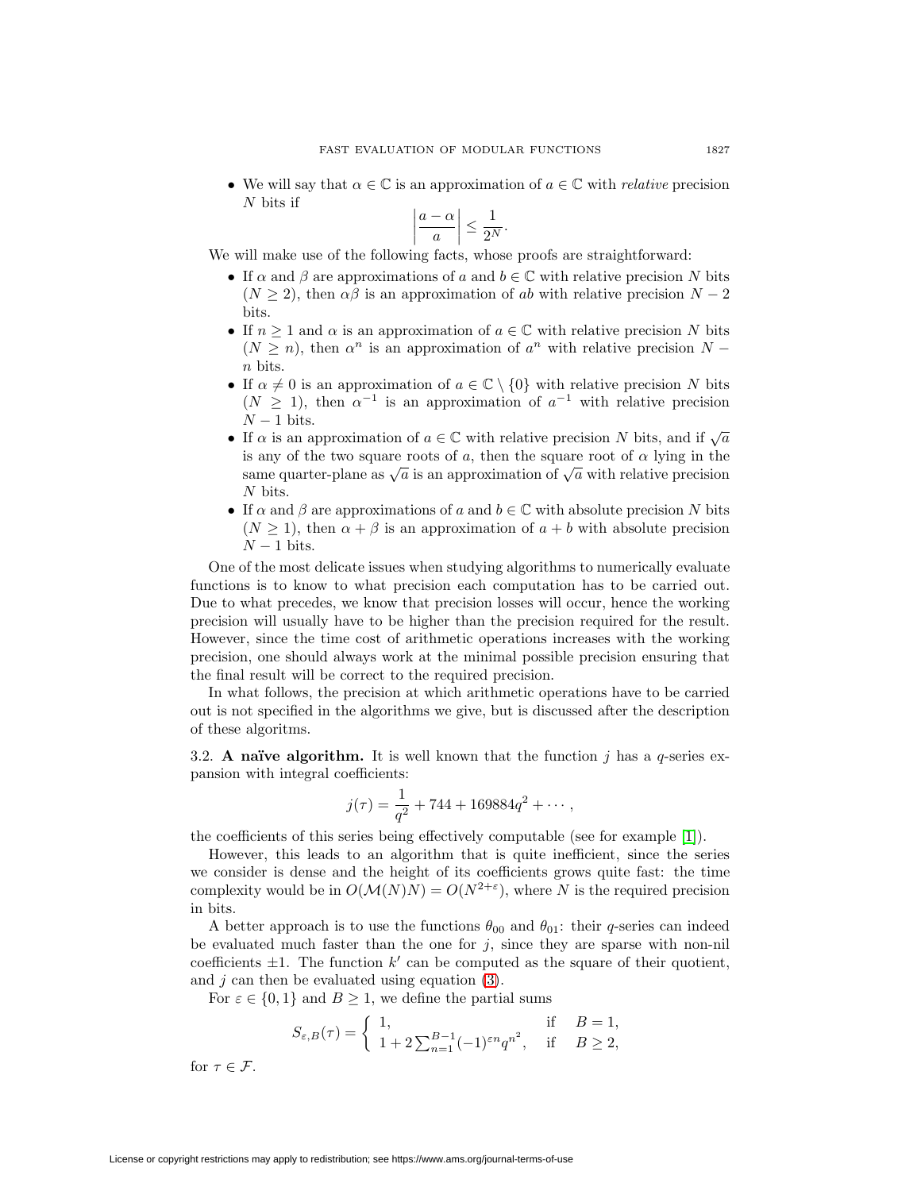• We will say that  $\alpha \in \mathbb{C}$  is an approximation of  $a \in \mathbb{C}$  with *relative* precision N bits if

$$
\left|\frac{a-\alpha}{a}\right| \le \frac{1}{2^N}.
$$

We will make use of the following facts, whose proofs are straightforward:

- If  $\alpha$  and  $\beta$  are approximations of a and  $b \in \mathbb{C}$  with relative precision N bits  $(N \geq 2)$ , then  $\alpha\beta$  is an approximation of ab with relative precision  $N-2$ bits.
- If  $n \geq 1$  and  $\alpha$  is an approximation of  $a \in \mathbb{C}$  with relative precision N bits  $(N \geq n)$ , then  $\alpha^{n}$  is an approximation of  $\alpha^{n}$  with relative precision N – n bits.
- If  $\alpha \neq 0$  is an approximation of  $a \in \mathbb{C} \setminus \{0\}$  with relative precision N bits  $(N \geq 1)$ , then  $\alpha^{-1}$  is an approximation of  $\alpha^{-1}$  with relative precision  $N-1$  bits.
- If  $\alpha$  is an approximation of  $a \in \mathbb{C}$  with relative precision N bits, and if  $\sqrt{a}$ is any of the two square roots of a, then the square root of  $\alpha$  lying in the same quarter-plane as  $\sqrt{a}$  is an approximation of  $\sqrt{a}$  with relative precision N bits.
- If  $\alpha$  and  $\beta$  are approximations of a and  $b \in \mathbb{C}$  with absolute precision N bits  $(N \geq 1)$ , then  $\alpha + \beta$  is an approximation of  $a + b$  with absolute precision  $N-1$  bits.

One of the most delicate issues when studying algorithms to numerically evaluate functions is to know to what precision each computation has to be carried out. Due to what precedes, we know that precision losses will occur, hence the working precision will usually have to be higher than the precision required for the result. However, since the time cost of arithmetic operations increases with the working precision, one should always work at the minimal possible precision ensuring that the final result will be correct to the required precision.

In what follows, the precision at which arithmetic operations have to be carried out is not specified in the algorithms we give, but is discussed after the description of these algoritms.

<span id="page-4-0"></span>3.2. **A naïve algorithm.** It is well known that the function j has a  $q$ -series expansion with integral coefficients:

$$
j(\tau) = \frac{1}{q^2} + 744 + 169884q^2 + \cdots,
$$

the coefficients of this series being effectively computable (see for example [\[1\]](#page-24-8)).

However, this leads to an algorithm that is quite inefficient, since the series we consider is dense and the height of its coefficients grows quite fast: the time complexity would be in  $O(\mathcal{M}(N)N) = O(N^{2+\epsilon})$ , where N is the required precision in bits.

A better approach is to use the functions  $\theta_{00}$  and  $\theta_{01}$ : their q-series can indeed be evaluated much faster than the one for  $j$ , since they are sparse with non-nil coefficients  $\pm 1$ . The function k' can be computed as the square of their quotient, and  $j$  can then be evaluated using equation [\(3\)](#page-3-0).

For  $\varepsilon \in \{0,1\}$  and  $B \ge 1$ , we define the partial sums

$$
S_{\varepsilon,B}(\tau) = \begin{cases} 1, & \text{if } B = 1, \\ 1 + 2 \sum_{n=1}^{B-1} (-1)^{\varepsilon n} q^{n^2}, & \text{if } B \ge 2, \end{cases}
$$

for  $\tau \in \mathcal{F}$ .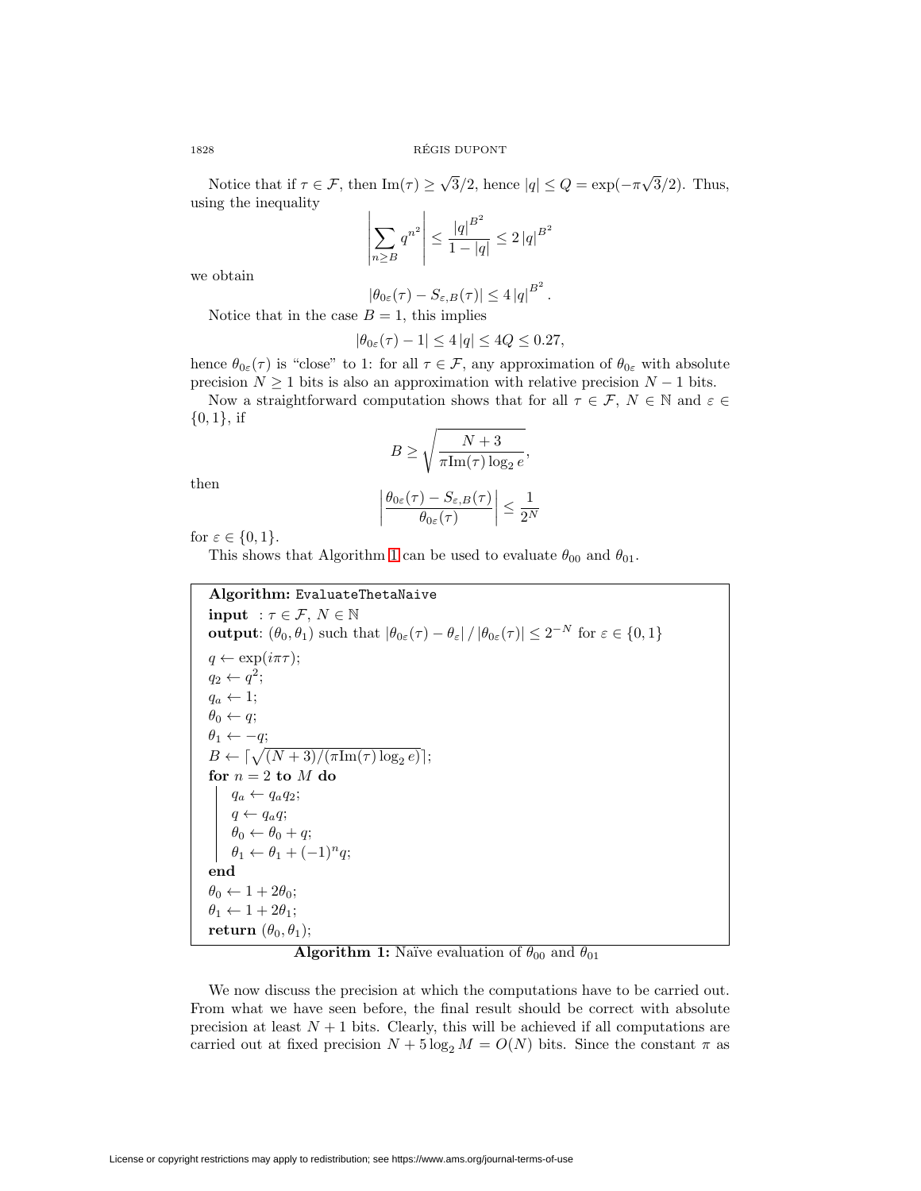Notice that if  $\tau \in \mathcal{F}$ , then  $\text{Im}(\tau) \geq \sqrt{3}/2$ , hence  $|q| \leq Q = \exp(-\pi \sqrt{3}/2)$ . Thus, using the inequality

$$
\left| \sum_{n \geq B} q^{n^2} \right| \leq \frac{|q|^{B^2}}{1 - |q|} \leq 2 |q|^{B^2}
$$

we obtain

$$
|\theta_{0\varepsilon}(\tau)-S_{\varepsilon,B}(\tau)|\leq 4|q|^{B^2}.
$$

Notice that in the case  $B = 1$ , this implies

$$
|\theta_{0\varepsilon}(\tau) - 1| \le 4 |q| \le 4Q \le 0.27,
$$

hence  $\theta_{0\varepsilon}(\tau)$  is "close" to 1: for all  $\tau \in \mathcal{F}$ , any approximation of  $\theta_{0\varepsilon}$  with absolute precision  $N \geq 1$  bits is also an approximation with relative precision  $N - 1$  bits.

Now a straightforward computation shows that for all  $\tau \in \mathcal{F}, N \in \mathbb{N}$  and  $\varepsilon \in$  $\{0, 1\}$ , if

$$
B \ge \sqrt{\frac{N+3}{\pi \text{Im}(\tau) \log_2 e}},
$$

$$
\frac{\theta_{0\varepsilon}(\tau) - S_{\varepsilon, B}(\tau)}{\theta_{0\varepsilon}(\tau)} \le \frac{1}{2^N}
$$

then

for 
$$
\varepsilon \in \{0, 1\}.
$$

This shows that Algorithm [1](#page-5-0) can be used to evaluate  $\theta_{00}$  and  $\theta_{01}$ .

 $\overline{\phantom{a}}$  $\overline{\phantom{a}}$  $\overline{\phantom{a}}$  $\mid$ 

## **Algorithm:** EvaluateThetaNaive

**input** :  $\tau \in \mathcal{F}, N \in \mathbb{N}$ **output**:  $(\theta_0, \theta_1)$  such that  $|\theta_{0\epsilon}(\tau) - \theta_{\epsilon}| / |\theta_{0\epsilon}(\tau)| \leq 2^{-N}$  for  $\epsilon \in \{0, 1\}$  $q \leftarrow \exp(i\pi\tau);$  $q_2 \leftarrow q^2;$  $q_a \leftarrow 1;$  $\theta_0 \leftarrow q;$  $\theta_1 \leftarrow -q;$  $B \leftarrow \lceil \sqrt{(N+3)/(\pi \mathrm{Im}(\tau) \log_2 e)} \rceil;$ for  $n=2$  to  $M$  do  $q_a \leftarrow q_a q_2;$  $q \leftarrow q_a q;$  $\theta_0 \leftarrow \theta_0 + q;$  $\theta_1 \leftarrow \theta_1 + (-1)^n q;$ **end**  $\theta_0 \leftarrow 1+2\theta_0;$  $\theta_1 \leftarrow 1+2\theta_1;$ **return**  $(\theta_0, \theta_1)$ ;

## **Algorithm 1:** Naïve evaluation of  $\theta_{00}$  and  $\theta_{01}$

<span id="page-5-0"></span>We now discuss the precision at which the computations have to be carried out. From what we have seen before, the final result should be correct with absolute precision at least  $N+1$  bits. Clearly, this will be achieved if all computations are carried out at fixed precision  $N + 5 \log_2 M = O(N)$  bits. Since the constant  $\pi$  as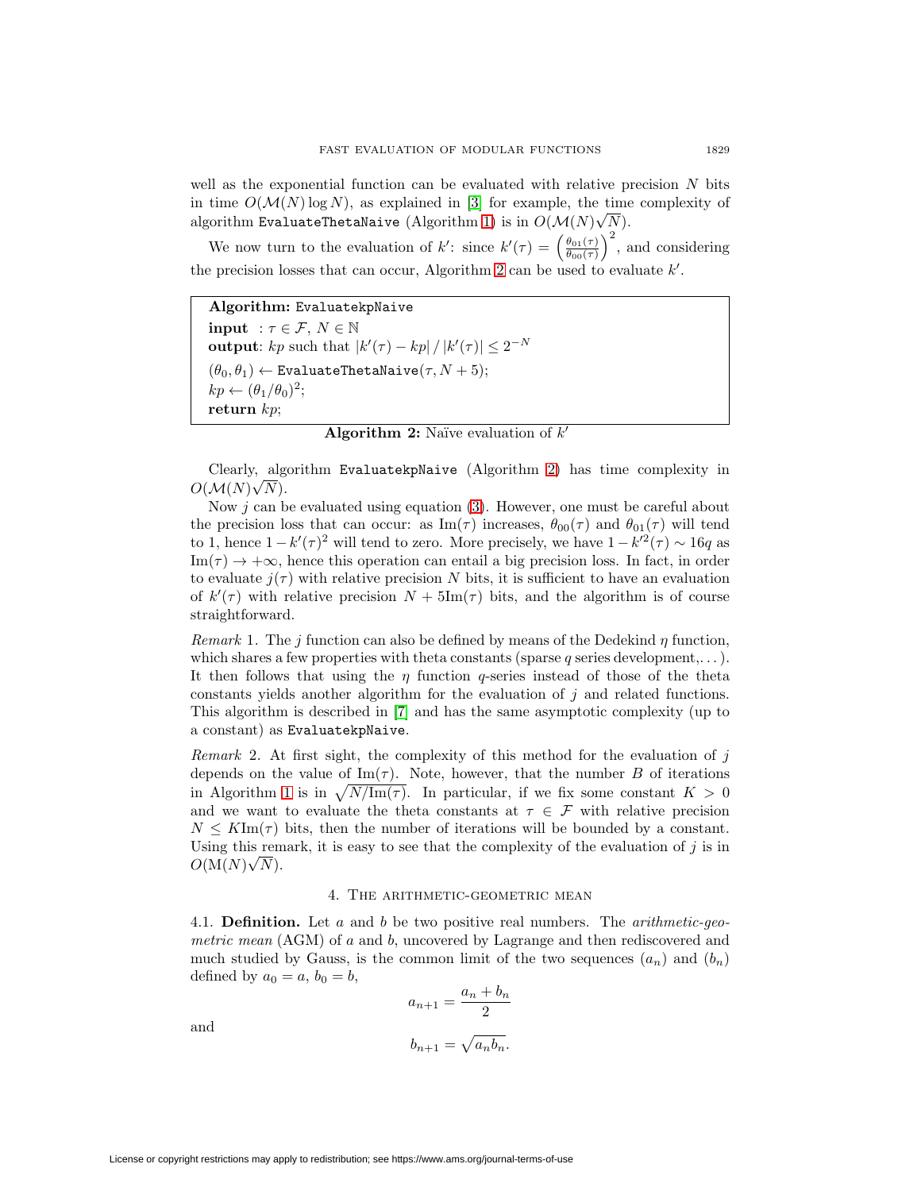well as the exponential function can be evaluated with relative precision  $N$  bits in time  $O(\mathcal{M}(N) \log N)$ , as explained in [\[3\]](#page-24-9) for example, the time complexity of algorithm EvaluateThetaNaive (Algorithm [1\)](#page-5-0) is in  $O(\mathcal{M}(N) \sqrt{N}).$ 

We now turn to the evaluation of k': since  $k'(\tau) = \left(\frac{\theta_{01}(\tau)}{\theta_{00}(\tau)}\right)^2$ , and considering the precision losses that can occur, Algorithm [2](#page-6-0) can be used to evaluate  $k'$ .

**Algorithm:** EvaluatekpNaive **input** :  $\tau \in \mathcal{F}, N \in \mathbb{N}$ **output**:  $kp$  such that  $|k'(\tau) - kp| / |k'(\tau)| \leq 2^{-N}$  $(\theta_0, \theta_1) \leftarrow$  EvaluateThetaNaive $(\tau, N + 5);$  $kp \leftarrow (\theta_1/\theta_0)^2;$ **return** kp;

**Algorithm 2:** Naïve evaluation of k'

<span id="page-6-0"></span>Clearly, algorithm EvaluatekpNaive (Algorithm [2\)](#page-6-0) has time complexity in  $\frac{1}{2}$  $O(M(N)\sqrt{N}).$ 

Now  $j$  can be evaluated using equation [\(3\)](#page-3-0). However, one must be careful about the precision loss that can occur: as  $\text{Im}(\tau)$  increases,  $\theta_{00}(\tau)$  and  $\theta_{01}(\tau)$  will tend to 1, hence  $1 - k'(\tau)^2$  will tend to zero. More precisely, we have  $1 - k'^2(\tau) \sim 16q$  as  $\text{Im}(\tau) \to +\infty$ , hence this operation can entail a big precision loss. In fact, in order to evaluate  $j(\tau)$  with relative precision N bits, it is sufficient to have an evaluation of  $k'(\tau)$  with relative precision  $N + 5\text{Im}(\tau)$  bits, and the algorithm is of course straightforward.

Remark 1. The j function can also be defined by means of the Dedekind  $\eta$  function, which shares a few properties with theta constants (sparse q series development,...). It then follows that using the  $\eta$  function q-series instead of those of the theta constants yields another algorithm for the evaluation of  $j$  and related functions. This algorithm is described in [\[7\]](#page-24-0) and has the same asymptotic complexity (up to a constant) as EvaluatekpNaive.

Remark 2. At first sight, the complexity of this method for the evaluation of  $j$ depends on the value of  $\text{Im}(\tau)$ . Note, however, that the number B of iterations in Algorithm [1](#page-5-0) is in  $\sqrt{N/\text{Im}(\tau)}$ . In particular, if we fix some constant  $K > 0$ and we want to evaluate the theta constants at  $\tau \in \mathcal{F}$  with relative precision  $N \leq K \text{Im}(\tau)$  bits, then the number of iterations will be bounded by a constant. Using this remark, it is easy to see that the complexity of the evaluation of j is in  $O(M(N)\sqrt{N}).$ 

## 4. The arithmetic-geometric mean

4.1. **Definition.** Let a and b be two positive real numbers. The arithmetic-geometric mean (AGM) of a and b, uncovered by Lagrange and then rediscovered and much studied by Gauss, is the common limit of the two sequences  $(a_n)$  and  $(b_n)$ defined by  $a_0 = a, b_0 = b$ ,

$$
a_{n+1} = \frac{a_n + b_n}{2}
$$

$$
b_{n+1} = \sqrt{a_n b_n}.
$$

and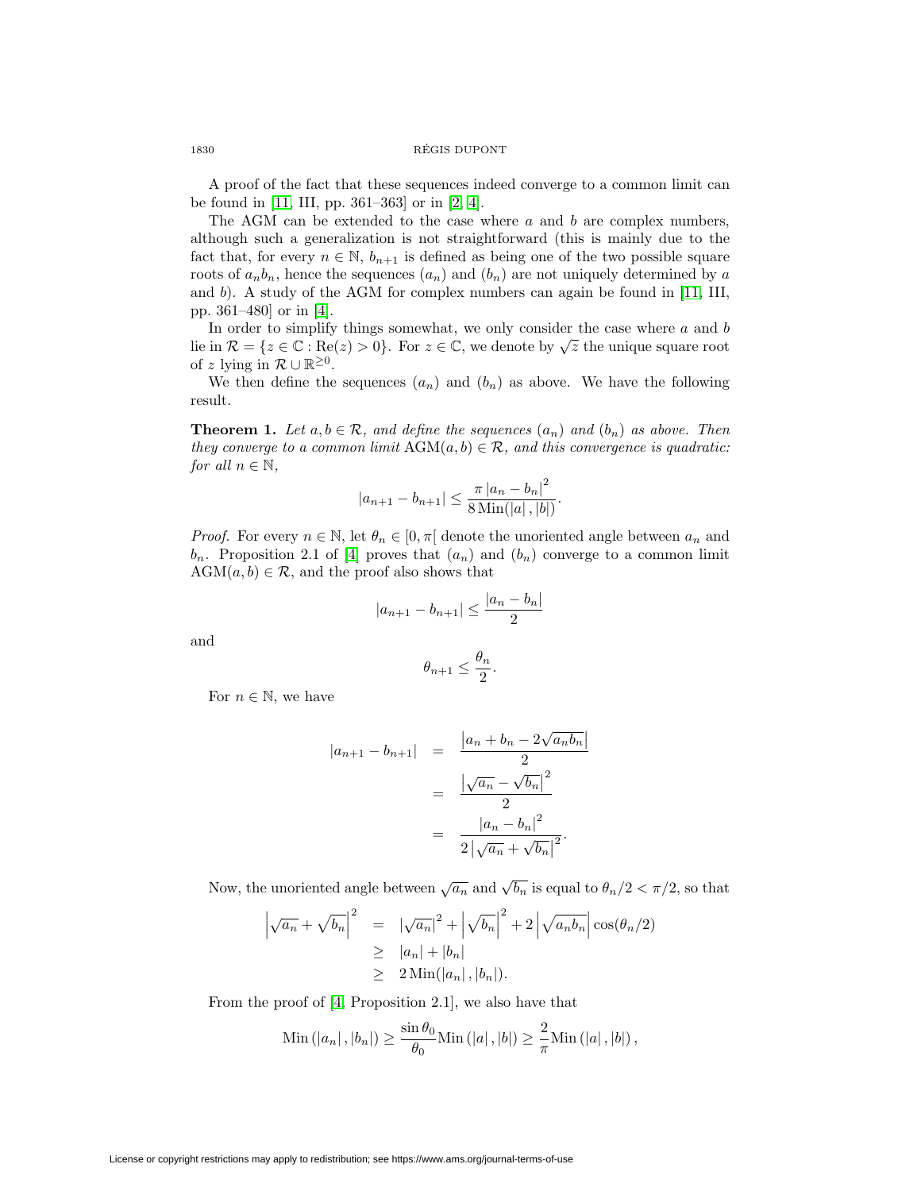A proof of the fact that these sequences indeed converge to a common limit can be found in [\[11,](#page-24-10) III, pp. 361–363] or in [\[2,](#page-24-7) [4\]](#page-24-6).

The AGM can be extended to the case where  $a$  and  $b$  are complex numbers, although such a generalization is not straightforward (this is mainly due to the fact that, for every  $n \in \mathbb{N}$ ,  $b_{n+1}$  is defined as being one of the two possible square roots of  $a_n b_n$ , hence the sequences  $(a_n)$  and  $(b_n)$  are not uniquely determined by a and b). A study of the AGM for complex numbers can again be found in  $[11, 111]$  $[11, 111]$ , pp. 361–480] or in [\[4\]](#page-24-6).

In order to simplify things somewhat, we only consider the case where  $a$  and  $b$ lie in  $\mathcal{R} = \{z \in \mathbb{C} : \text{Re}(z) > 0\}$ . For  $z \in \mathbb{C}$ , we denote by  $\sqrt{z}$  the unique square root of z lying in  $\mathcal{R} \cup \mathbb{R}^{\geq 0}$ .

We then define the sequences  $(a_n)$  and  $(b_n)$  as above. We have the following result.

**Theorem 1.** Let  $a, b \in \mathcal{R}$ , and define the sequences  $(a_n)$  and  $(b_n)$  as above. Then they converge to a common limit  $AGM(a, b) \in \mathcal{R}$ , and this convergence is quadratic: for all  $n \in \mathbb{N}$ ,

$$
|a_{n+1} - b_{n+1}| \le \frac{\pi |a_n - b_n|^2}{8 \operatorname{Min}(|a|, |b|)}.
$$

*Proof.* For every  $n \in \mathbb{N}$ , let  $\theta_n \in [0, \pi]$  denote the unoriented angle between  $a_n$  and  $b_n$ . Proposition 2.1 of [\[4\]](#page-24-6) proves that  $(a_n)$  and  $(b_n)$  converge to a common limit  $AGM(a, b) \in \mathcal{R}$ , and the proof also shows that

$$
|a_{n+1} - b_{n+1}| \le \frac{|a_n - b_n|}{2}
$$

and

$$
\theta_{n+1}\leq \frac{\theta_n}{2}.
$$

For  $n \in \mathbb{N}$ , we have

$$
|a_{n+1} - b_{n+1}| = \frac{|a_n + b_n - 2\sqrt{a_n b_n}|}{2}
$$
  
= 
$$
\frac{|\sqrt{a_n} - \sqrt{b_n}|^2}{2}
$$
  
= 
$$
\frac{|a_n - b_n|^2}{2|\sqrt{a_n} + \sqrt{b_n}|^2}.
$$

Now, the unoriented angle between  $\sqrt{a_n}$  and  $\sqrt{b_n}$  is equal to  $\theta_n/2 < \pi/2$ , so that

$$
\left|\sqrt{a_n} + \sqrt{b_n}\right|^2 = \left|\sqrt{a_n}\right|^2 + \left|\sqrt{b_n}\right|^2 + 2\left|\sqrt{a_n b_n}\right| \cos(\theta_n/2)
$$
  
\n
$$
\geq |a_n| + |b_n|
$$
  
\n
$$
\geq 2 \operatorname{Min}(|a_n|, |b_n|).
$$

From the proof of [\[4,](#page-24-6) Proposition 2.1], we also have that

Min 
$$
(|a_n|, |b_n|) \ge \frac{\sin \theta_0}{\theta_0} \text{Min} (|a|, |b|) \ge \frac{2}{\pi} \text{Min} (|a|, |b|),
$$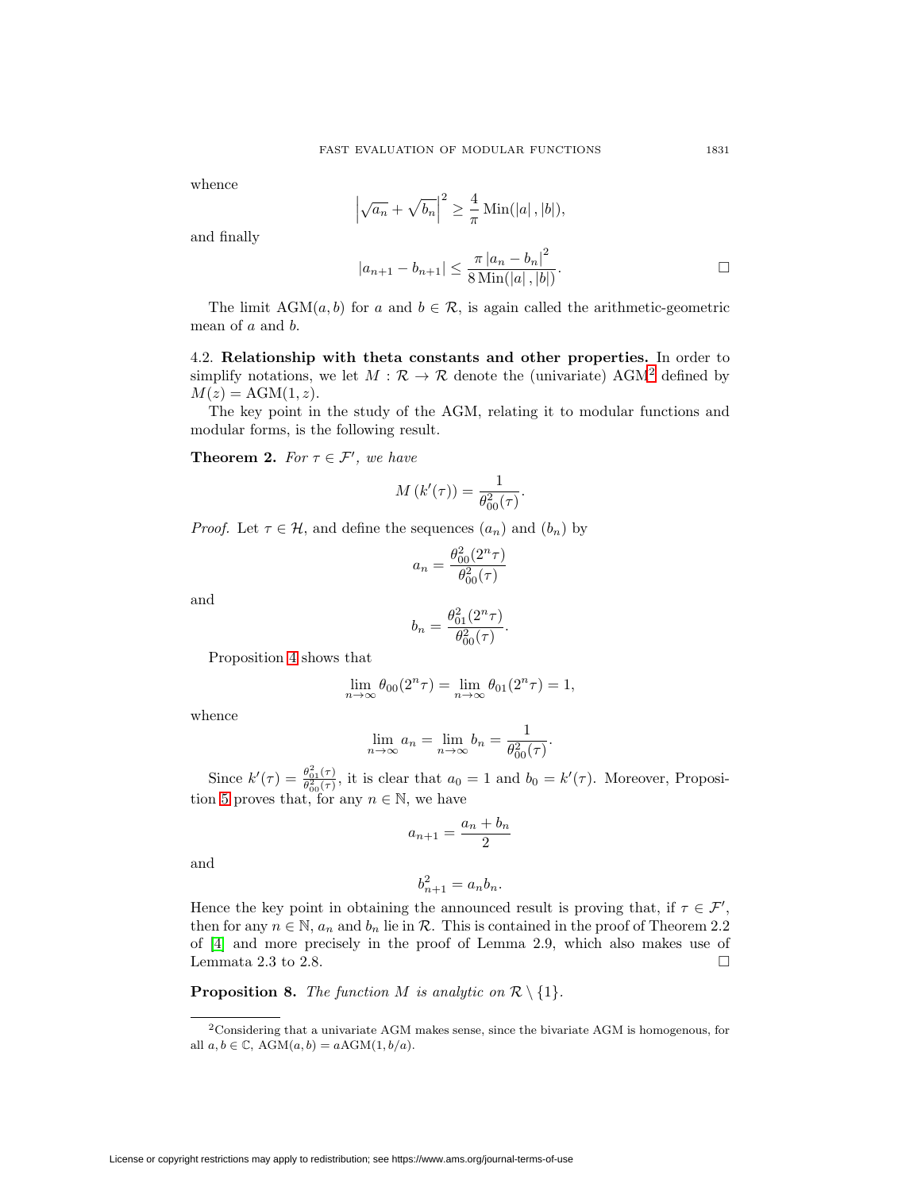whence

$$
\left|\sqrt{a_n} + \sqrt{b_n}\right|^2 \ge \frac{4}{\pi} \operatorname{Min}(|a|, |b|),
$$

and finally

$$
|a_{n+1} - b_{n+1}| \le \frac{\pi |a_n - b_n|^2}{8 \operatorname{Min}(|a|, |b|)}.
$$

The limit  $AGM(a, b)$  for a and  $b \in \mathcal{R}$ , is again called the arithmetic-geometric mean of a and b.

4.2. **Relationship with theta constants and other properties.** In order to simplify notations, we let  $M : \mathcal{R} \to \mathcal{R}$  denote the (univariate) AGM<sup>[2](#page-8-0)</sup> defined by  $M(z) = \text{AGM}(1, z).$ 

The key point in the study of the AGM, relating it to modular functions and modular forms, is the following result.

<span id="page-8-1"></span>**Theorem 2.** For  $\tau \in \mathcal{F}'$ , we have

$$
M(k'(\tau)) = \frac{1}{\theta_{00}^2(\tau)}.
$$

*Proof.* Let  $\tau \in \mathcal{H}$ , and define the sequences  $(a_n)$  and  $(b_n)$  by

$$
a_n = \frac{\theta_{00}^2 (2^n \tau)}{\theta_{00}^2 (\tau)}
$$

and

$$
b_n = \frac{\theta_{01}^2 (2^n \tau)}{\theta_{00}^2 (\tau)}.
$$

Proposition [4](#page-2-2) shows that

$$
\lim_{n \to \infty} \theta_{00}(2^n \tau) = \lim_{n \to \infty} \theta_{01}(2^n \tau) = 1,
$$

whence

$$
\lim_{n \to \infty} a_n = \lim_{n \to \infty} b_n = \frac{1}{\theta_{00}^2(\tau)}.
$$

Since  $k'(\tau) = \frac{\theta_{01}^2(\tau)}{\theta_{00}^2(\tau)}$ , it is clear that  $a_0 = 1$  and  $b_0 = k'(\tau)$ . Moreover, Proposi-tion [5](#page-2-3) proves that, for any  $n \in \mathbb{N}$ , we have

$$
a_{n+1} = \frac{a_n + b_n}{2}
$$

and

$$
b_{n+1}^2 = a_n b_n.
$$

Hence the key point in obtaining the announced result is proving that, if  $\tau \in \mathcal{F}'$ , then for any  $n \in \mathbb{N}$ ,  $a_n$  and  $b_n$  lie in  $\mathcal{R}$ . This is contained in the proof of Theorem 2.2 of [\[4\]](#page-24-6) and more precisely in the proof of Lemma 2.9, which also makes use of Lemmata 2.3 to 2.8.  $\Box$ 

<span id="page-8-2"></span>**Proposition 8.** The function M is analytic on  $\mathcal{R}\setminus\{1\}$ .

<span id="page-8-0"></span><sup>2</sup>Considering that a univariate AGM makes sense, since the bivariate AGM is homogenous, for all  $a, b \in \mathbb{C}$ ,  $AGM(a, b) = aAGM(1, b/a)$ .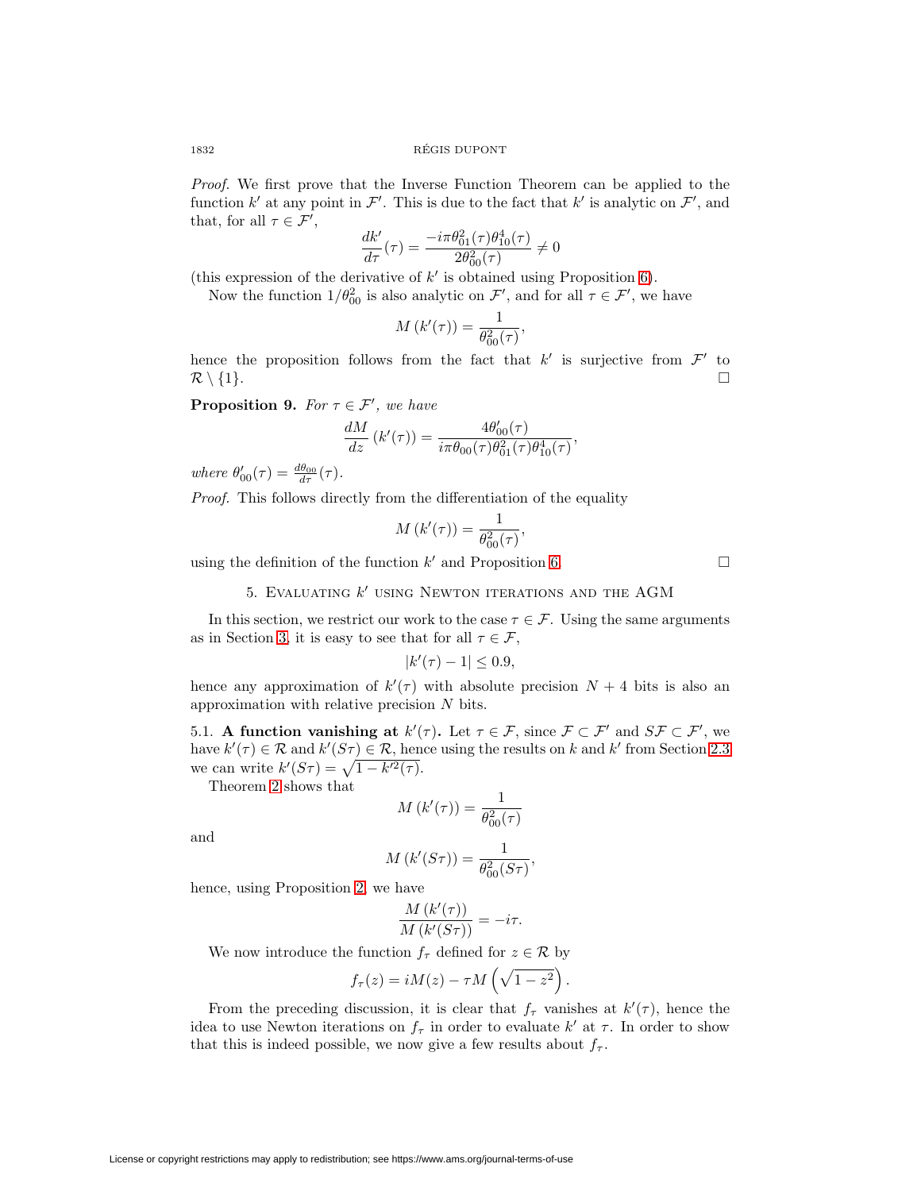Proof. We first prove that the Inverse Function Theorem can be applied to the function k' at any point in F'. This is due to the fact that k' is analytic on F', and that, for all  $\tau \in \mathcal{F}'$ ,

$$
\frac{dk'}{d\tau}(\tau) = \frac{-i\pi\theta_{01}^2(\tau)\theta_{10}^4(\tau)}{2\theta_{00}^2(\tau)} \neq 0
$$

(this expression of the derivative of  $k'$  is obtained using Proposition [6\)](#page-2-4).

Now the function  $1/\theta_{00}^2$  is also analytic on  $\mathcal{F}'$ , and for all  $\tau \in \mathcal{F}'$ , we have

$$
M(k'(\tau)) = \frac{1}{\theta_{00}^2(\tau)},
$$

hence the proposition follows from the fact that  $k'$  is surjective from  $\mathcal{F}'$  to  $\mathcal{R}\setminus\{1\}.$ 

<span id="page-9-0"></span>**Proposition 9.** For  $\tau \in \mathcal{F}'$ , we have

$$
\frac{dM}{dz}\left(k'(\tau)\right) = \frac{4\theta'_{00}(\tau)}{i\pi\theta_{00}(\tau)\theta_{01}^2(\tau)\theta_{10}^4(\tau)},
$$

where  $\theta'_{00}(\tau) = \frac{d\theta_{00}}{d\tau}(\tau)$ .

Proof. This follows directly from the differentiation of the equality

$$
M(k'(\tau)) = \frac{1}{\theta_{00}^2(\tau)},
$$

<span id="page-9-1"></span>using the definition of the function  $k'$  and Proposition [6.](#page-2-4)

5. EVALUATING  $k'$  using Newton iterations and the AGM

In this section, we restrict our work to the case  $\tau \in \mathcal{F}$ . Using the same arguments as in Section [3,](#page-3-1) it is easy to see that for all  $\tau \in \mathcal{F}$ ,

$$
|k'(\tau) - 1| \le 0.9,
$$

hence any approximation of  $k'(\tau)$  with absolute precision  $N+4$  bits is also an approximation with relative precision N bits.

5.1. **A function vanishing at**  $k'(\tau)$ . Let  $\tau \in \mathcal{F}$ , since  $\mathcal{F} \subset \mathcal{F}'$  and  $S\mathcal{F} \subset \mathcal{F}'$ , we have  $k'(\tau) \in \mathcal{R}$  and  $k'(S\tau) \in \mathcal{R}$ , hence using the results on k and k' from Section [2.3](#page-3-2) we can write  $k'(S\tau) = \sqrt{1 - k'^2(\tau)}$ .

Theorem [2](#page-8-1) shows that

$$
M(k'(\tau)) = \frac{1}{\theta_{00}^2(\tau)}
$$

and

$$
M(k'(S\tau)) = \frac{1}{\theta_{00}^2(S\tau)},
$$

hence, using Proposition [2,](#page-2-0) we have

$$
\frac{M(k'(\tau))}{M(k'(S\tau))} = -i\tau.
$$

We now introduce the function  $f_{\tau}$  defined for  $z \in \mathcal{R}$  by

$$
f_{\tau}(z) = iM(z) - \tau M\left(\sqrt{1 - z^2}\right).
$$

From the preceding discussion, it is clear that  $f_{\tau}$  vanishes at  $k'(\tau)$ , hence the idea to use Newton iterations on  $f_{\tau}$  in order to evaluate  $k'$  at  $\tau$ . In order to show that this is indeed possible, we now give a few results about  $f_{\tau}$ .

 $\Box$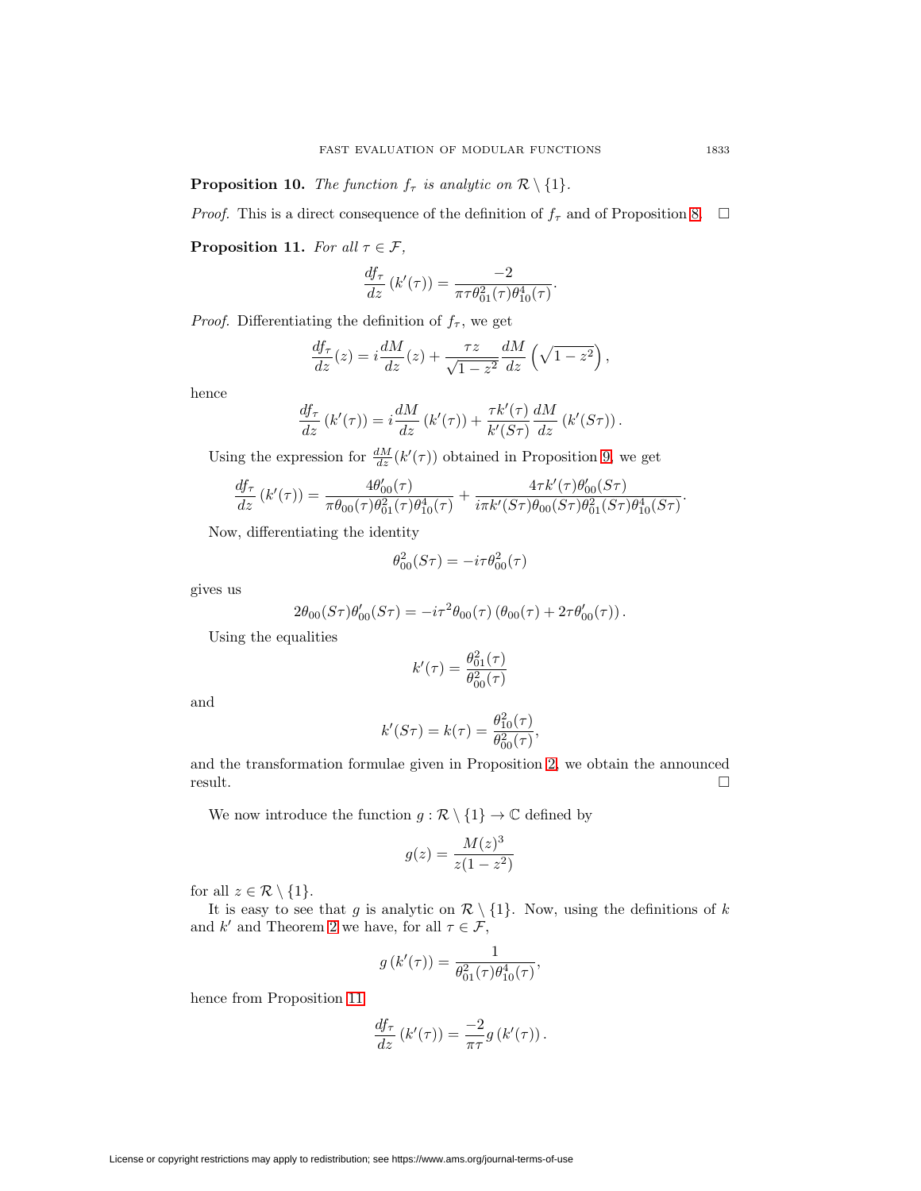**Proposition 10.** The function  $f_{\tau}$  is analytic on  $\mathcal{R}\setminus\{1\}$ .

*Proof.* This is a direct consequence of the definition of  $f_{\tau}$  and of Proposition [8.](#page-8-2)  $\Box$ 

<span id="page-10-0"></span>**Proposition 11.** For all  $\tau \in \mathcal{F}$ ,

$$
\frac{df_{\tau}}{dz} (k'(\tau)) = \frac{-2}{\pi \tau \theta_{01}^2(\tau) \theta_{10}^4(\tau)}.
$$

*Proof.* Differentiating the definition of  $f_\tau$ , we get

$$
\frac{df_{\tau}}{dz}(z) = i\frac{dM}{dz}(z) + \frac{\tau z}{\sqrt{1-z^2}}\frac{dM}{dz}\left(\sqrt{1-z^2}\right),
$$

hence

$$
\frac{df_{\tau}}{dz} (k'(\tau)) = i \frac{dM}{dz} (k'(\tau)) + \frac{\tau k'(\tau)}{k'(S\tau)} \frac{dM}{dz} (k'(S\tau)).
$$

Using the expression for  $\frac{dM}{dz}(k'(\tau))$  obtained in Proposition [9,](#page-9-0) we get

$$
\frac{df_{\tau}}{dz}(k'(\tau)) = \frac{4\theta'_{00}(\tau)}{\pi\theta_{00}(\tau)\theta_{01}^2(\tau)\theta_{10}^4(\tau)} + \frac{4\tau k'(\tau)\theta'_{00}(S\tau)}{i\pi k'(S\tau)\theta_{00}(S\tau)\theta_{01}^2(S\tau)\theta_{10}^4(S\tau)}.
$$

Now, differentiating the identity

$$
\theta_{00}^2(S\tau)=-i\tau\theta_{00}^2(\tau)
$$

gives us

$$
2\theta_{00}(S\tau)\theta'_{00}(S\tau) = -i\tau^2\theta_{00}(\tau)\left(\theta_{00}(\tau) + 2\tau\theta'_{00}(\tau)\right).
$$

Using the equalities

$$
k'(\tau)=\frac{\theta_{01}^2(\tau)}{\theta_{00}^2(\tau)}
$$

and

$$
k'(S\tau) = k(\tau) = \frac{\theta_{10}^2(\tau)}{\theta_{00}^2(\tau)},
$$

and the transformation formulae given in Proposition [2,](#page-2-0) we obtain the announced result.  $\Box$ 

We now introduce the function  $g:\mathcal{R}\setminus\{1\}\to\mathbb{C}$  defined by

$$
g(z) = \frac{M(z)^3}{z(1 - z^2)}
$$

for all  $z \in \mathcal{R} \setminus \{1\}.$ 

It is easy to see that g is analytic on  $\mathcal{R}\setminus\{1\}$ . Now, using the definitions of k and  $k'$  and Theorem [2](#page-8-1) we have, for all  $\tau \in \mathcal{F}$ ,

$$
g(k'(\tau)) = \frac{1}{\theta_{01}^2(\tau)\theta_{10}^4(\tau)},
$$

hence from Proposition [11](#page-10-0)

$$
\frac{df_{\tau}}{dz} (k'(\tau)) = \frac{-2}{\pi \tau} g (k'(\tau)).
$$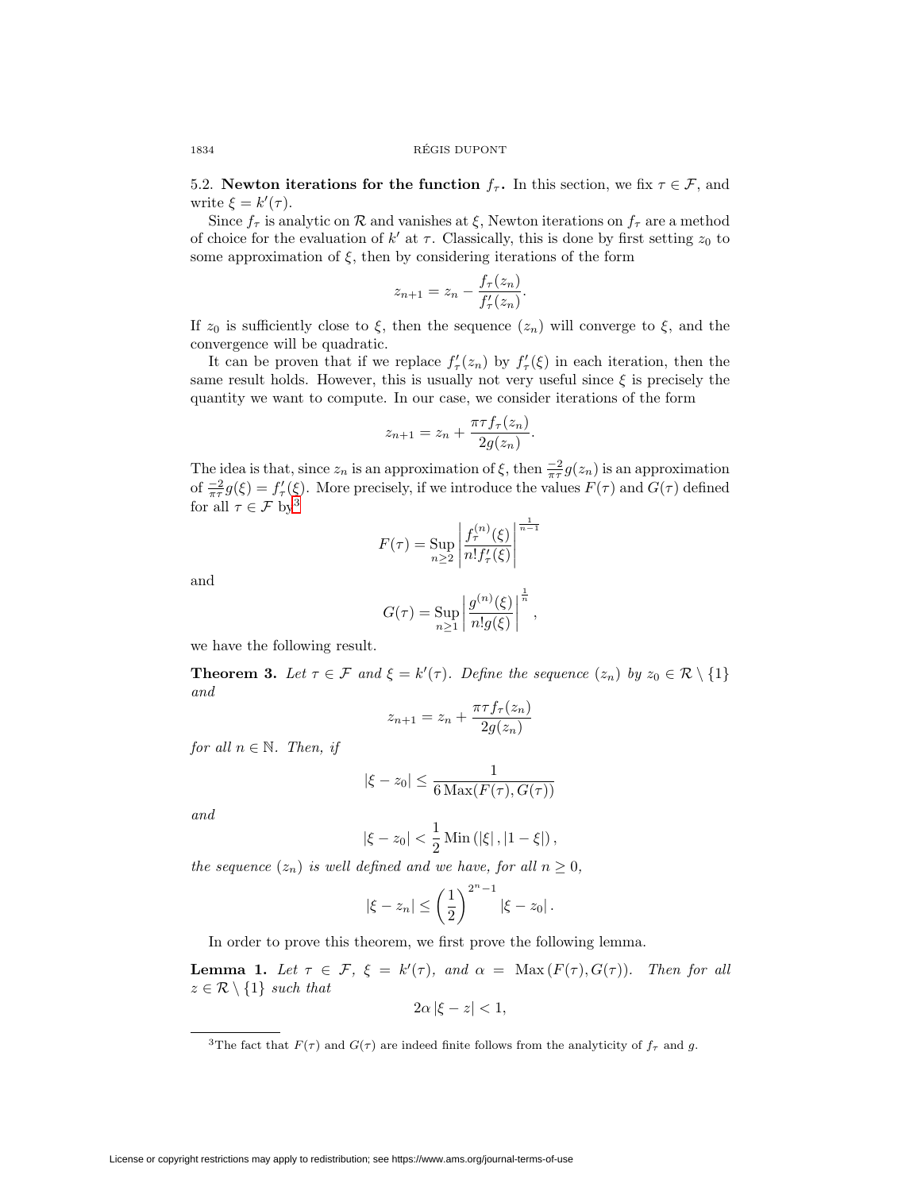5.2. **Newton iterations for the function**  $f_{\tau}$ . In this section, we fix  $\tau \in \mathcal{F}$ , and write  $\xi = k'(\tau)$ .

Since  $f_{\tau}$  is analytic on R and vanishes at  $\xi$ , Newton iterations on  $f_{\tau}$  are a method of choice for the evaluation of  $k'$  at  $\tau$ . Classically, this is done by first setting  $z_0$  to some approximation of  $\xi$ , then by considering iterations of the form

$$
z_{n+1} = z_n - \frac{f_\tau(z_n)}{f'_\tau(z_n)}.
$$

If  $z_0$  is sufficiently close to  $\xi$ , then the sequence  $(z_n)$  will converge to  $\xi$ , and the convergence will be quadratic.

It can be proven that if we replace  $f'_{\tau}(z_n)$  by  $f'_{\tau}(\xi)$  in each iteration, then the same result holds. However, this is usually not very useful since  $\xi$  is precisely the quantity we want to compute. In our case, we consider iterations of the form

$$
z_{n+1} = z_n + \frac{\pi \tau f_{\tau}(z_n)}{2g(z_n)}.
$$

The idea is that, since  $z_n$  is an approximation of  $\xi$ , then  $\frac{-2}{\pi\tau}g(z_n)$  is an approximation of  $\frac{-2}{\pi\tau}g(\xi) = f'_{\tau}(\xi)$ . More precisely, if we introduce the values  $F(\tau)$  and  $G(\tau)$  defined for all  $\tau \in \mathcal{F}$  by<br> $^3$  $^3$ 

$$
F(\tau) = \sup_{n \ge 2} \left| \frac{f_{\tau}^{(n)}(\xi)}{n! f_{\tau}'(\xi)} \right|^{\frac{1}{n-1}}
$$

and

$$
G(\tau) = \sup_{n \ge 1} \left| \frac{g^{(n)}(\xi)}{n!g(\xi)} \right|^{\frac{1}{n}},
$$

we have the following result.

<span id="page-11-1"></span>**Theorem 3.** Let  $\tau \in \mathcal{F}$  and  $\xi = k'(\tau)$ . Define the sequence  $(z_n)$  by  $z_0 \in \mathcal{R} \setminus \{1\}$ and

$$
z_{n+1} = z_n + \frac{\pi \tau f_\tau(z_n)}{2g(z_n)}
$$

for all  $n \in \mathbb{N}$ . Then, if

$$
|\xi - z_0| \le \frac{1}{6 \operatorname{Max}(F(\tau), G(\tau))}
$$

and

$$
|\xi - z_0| < \frac{1}{2} \operatorname{Min} (|\xi|, |1 - \xi|),
$$

the sequence  $(z_n)$  is well defined and we have, for all  $n \geq 0$ ,

$$
|\xi - z_n| \le \left(\frac{1}{2}\right)^{2^n - 1} |\xi - z_0|.
$$

In order to prove this theorem, we first prove the following lemma.

<span id="page-11-2"></span>**Lemma 1.** Let  $\tau \in \mathcal{F}$ ,  $\xi = k'(\tau)$ , and  $\alpha = \text{Max}(F(\tau), G(\tau))$ . Then for all  $z \in \mathcal{R} \setminus \{1\}$  such that

$$
2\alpha \left| \xi - z \right| < 1,
$$

<span id="page-11-0"></span><sup>&</sup>lt;sup>3</sup>The fact that  $F(\tau)$  and  $G(\tau)$  are indeed finite follows from the analyticity of  $f_{\tau}$  and g.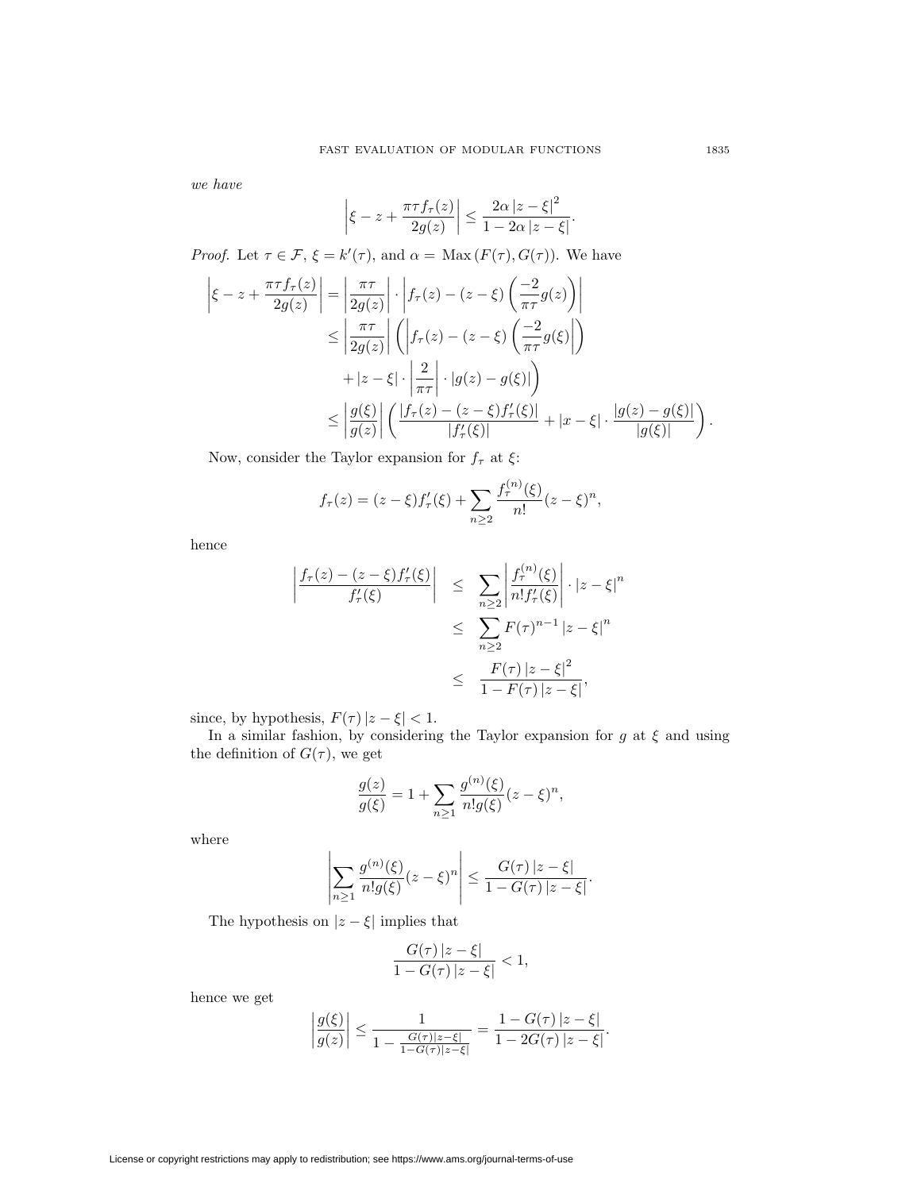we have

$$
\left|\xi - z + \frac{\pi\tau f_{\tau}(z)}{2g(z)}\right| \le \frac{2\alpha |z - \xi|^2}{1 - 2\alpha |z - \xi|}.
$$

*Proof.* Let  $\tau \in \mathcal{F}, \xi = k'(\tau)$ , and  $\alpha = \text{Max}(F(\tau), G(\tau))$ . We have

$$
\left| \xi - z + \frac{\pi \tau f_{\tau}(z)}{2g(z)} \right| = \left| \frac{\pi \tau}{2g(z)} \right| \cdot \left| f_{\tau}(z) - (z - \xi) \left( \frac{-2}{\pi \tau} g(z) \right) \right|
$$
  
\n
$$
\leq \left| \frac{\pi \tau}{2g(z)} \right| \left( \left| f_{\tau}(z) - (z - \xi) \left( \frac{-2}{\pi \tau} g(\xi) \right| \right)
$$
  
\n
$$
+ |z - \xi| \cdot \left| \frac{2}{\pi \tau} \right| \cdot |g(z) - g(\xi)| \right)
$$
  
\n
$$
\leq \left| \frac{g(\xi)}{g(z)} \right| \left( \frac{|f_{\tau}(z) - (z - \xi) f'_{\tau}(\xi)|}{|f'_{\tau}(\xi)|} + |x - \xi| \cdot \frac{|g(z) - g(\xi)|}{|g(\xi)|} \right).
$$

Now, consider the Taylor expansion for  $f_\tau$  at  $\xi\colon$ 

$$
f_{\tau}(z) = (z - \xi) f'_{\tau}(\xi) + \sum_{n \ge 2} \frac{f_{\tau}^{(n)}(\xi)}{n!} (z - \xi)^n,
$$

hence

$$
\left| \frac{f_{\tau}(z) - (z - \xi)f'_{\tau}(\xi)}{f'_{\tau}(\xi)} \right| \leq \sum_{n \geq 2} \left| \frac{f_{\tau}^{(n)}(\xi)}{n!f'_{\tau}(\xi)} \right| \cdot |z - \xi|^{n}
$$

$$
\leq \sum_{n \geq 2} F(\tau)^{n-1} |z - \xi|^{n}
$$

$$
\leq \frac{F(\tau) |z - \xi|^{2}}{1 - F(\tau) |z - \xi|},
$$

since, by hypothesis,  $F(\tau) |z - \xi| < 1$ .

In a similar fashion, by considering the Taylor expansion for  $g$  at  $\xi$  and using the definition of  $G(\tau)$ , we get

$$
\frac{g(z)}{g(\xi)} = 1 + \sum_{n \ge 1} \frac{g^{(n)}(\xi)}{n!g(\xi)} (z - \xi)^n,
$$

where

$$
\left|\sum_{n\geq 1}\frac{g^{(n)}(\xi)}{n!g(\xi)}(z-\xi)^n\right|\leq \frac{G(\tau)|z-\xi|}{1-G(\tau)|z-\xi|}.
$$

The hypothesis on  $|z-\xi|$  implies that

$$
\frac{G(\tau)|z-\xi|}{1-G(\tau)|z-\xi|} < 1,
$$

hence we get

$$
\left|\frac{g(\xi)}{g(z)}\right| \le \frac{1}{1 - \frac{G(\tau)|z - \xi|}{1 - G(\tau)|z - \xi|}} = \frac{1 - G(\tau)|z - \xi|}{1 - 2G(\tau)|z - \xi|}.
$$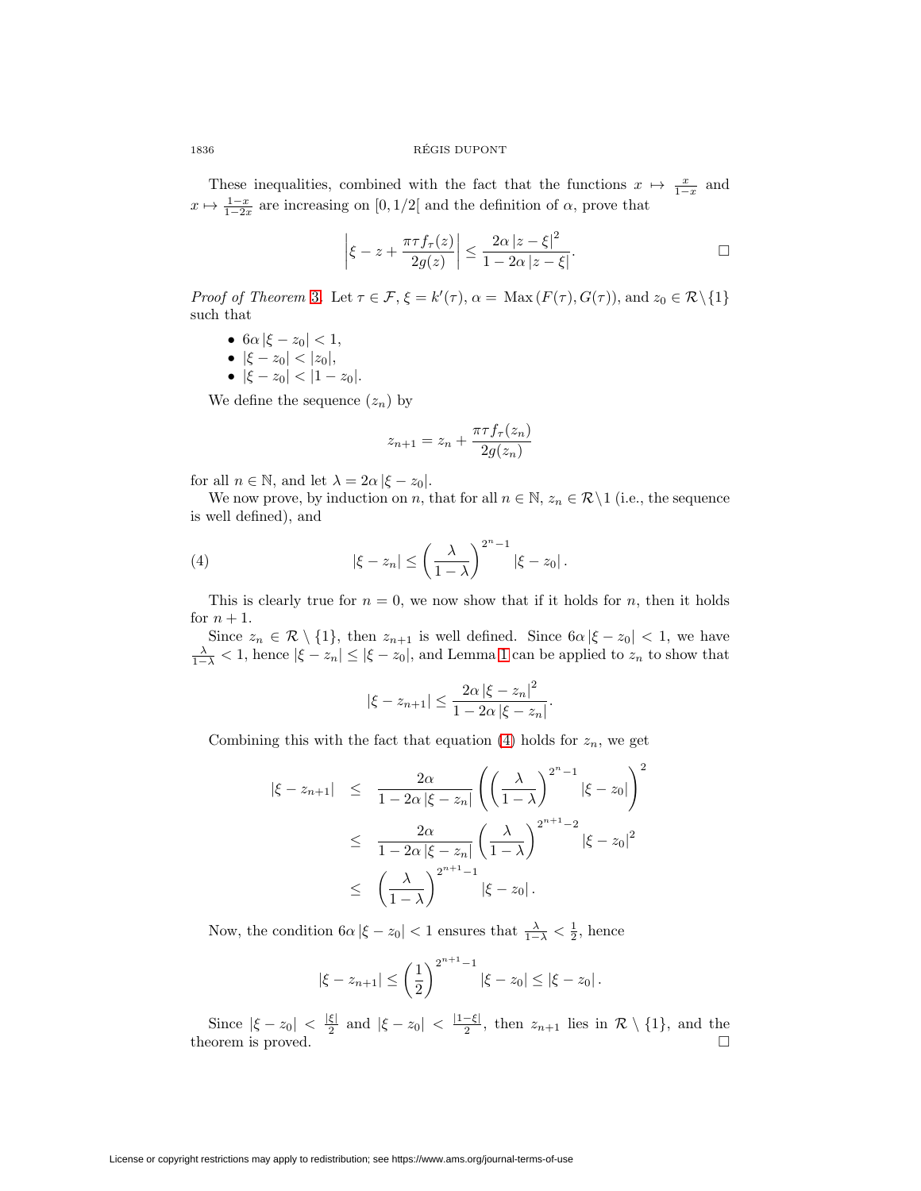1836 REGIS DUPONT ´

These inequalities, combined with the fact that the functions  $x \mapsto \frac{x}{1-x}$  and  $x \mapsto \frac{1-x}{1-2x}$  are increasing on  $[0,1/2]$  and the definition of  $\alpha$ , prove that

$$
\left|\xi - z + \frac{\pi\tau f_\tau(z)}{2g(z)}\right| \le \frac{2\alpha |z - \xi|^2}{1 - 2\alpha |z - \xi|}.
$$

*Proof of Theorem [3](#page-11-1).* Let  $\tau \in \mathcal{F}, \xi = k'(\tau), \alpha = \text{Max}(F(\tau), G(\tau))$ , and  $z_0 \in \mathcal{R} \setminus \{1\}$ such that

- $6\alpha |\xi z_0| < 1$ ,
- $|\xi z_0| < |z_0|$ ,
- $|\xi z_0| < |1 z_0|$ .

We define the sequence  $(z_n)$  by

$$
z_{n+1} = z_n + \frac{\pi \tau f_\tau(z_n)}{2g(z_n)}
$$

for all  $n \in \mathbb{N}$ , and let  $\lambda = 2\alpha |\xi - z_0|$ .

We now prove, by induction on n, that for all  $n \in \mathbb{N}$ ,  $z_n \in \mathcal{R} \setminus 1$  (i.e., the sequence is well defined), and

<span id="page-13-0"></span>(4) 
$$
|\xi - z_n| \leq \left(\frac{\lambda}{1-\lambda}\right)^{2^n-1} |\xi - z_0|.
$$

This is clearly true for  $n = 0$ , we now show that if it holds for n, then it holds for  $n+1$ .

Since  $z_n \in \mathcal{R} \setminus \{1\}$ , then  $z_{n+1}$  is well defined. Since  $6\alpha |\xi - z_0| < 1$ , we have  $\frac{\lambda}{1-\lambda}$  < [1](#page-11-2), hence  $|\xi - z_n| \le |\xi - z_0|$ , and Lemma 1 can be applied to  $z_n$  to show that

$$
|\xi - z_{n+1}| \le \frac{2\alpha |\xi - z_n|^2}{1 - 2\alpha |\xi - z_n|}.
$$

Combining this with the fact that equation [\(4\)](#page-13-0) holds for  $z_n$ , we get

$$
|\xi - z_{n+1}| \leq \frac{2\alpha}{1 - 2\alpha |\xi - z_n|} \left( \left( \frac{\lambda}{1 - \lambda} \right)^{2^n - 1} |\xi - z_0| \right)^2
$$
  

$$
\leq \frac{2\alpha}{1 - 2\alpha |\xi - z_n|} \left( \frac{\lambda}{1 - \lambda} \right)^{2^{n+1} - 2} |\xi - z_0|^2
$$
  

$$
\leq \left( \frac{\lambda}{1 - \lambda} \right)^{2^{n+1} - 1} |\xi - z_0|.
$$

Now, the condition  $6\alpha |\xi - z_0| < 1$  ensures that  $\frac{\lambda}{1-\lambda} < \frac{1}{2}$ , hence

$$
|\xi - z_{n+1}| \leq \left(\frac{1}{2}\right)^{2^{n+1}-1} |\xi - z_0| \leq |\xi - z_0|.
$$

Since  $|\xi - z_0| < \frac{|\xi|}{2}$  and  $|\xi - z_0| < \frac{|1-\xi|}{2}$ , then  $z_{n+1}$  lies in  $\mathcal{R} \setminus \{1\}$ , and the theorem is proved.  $\Box$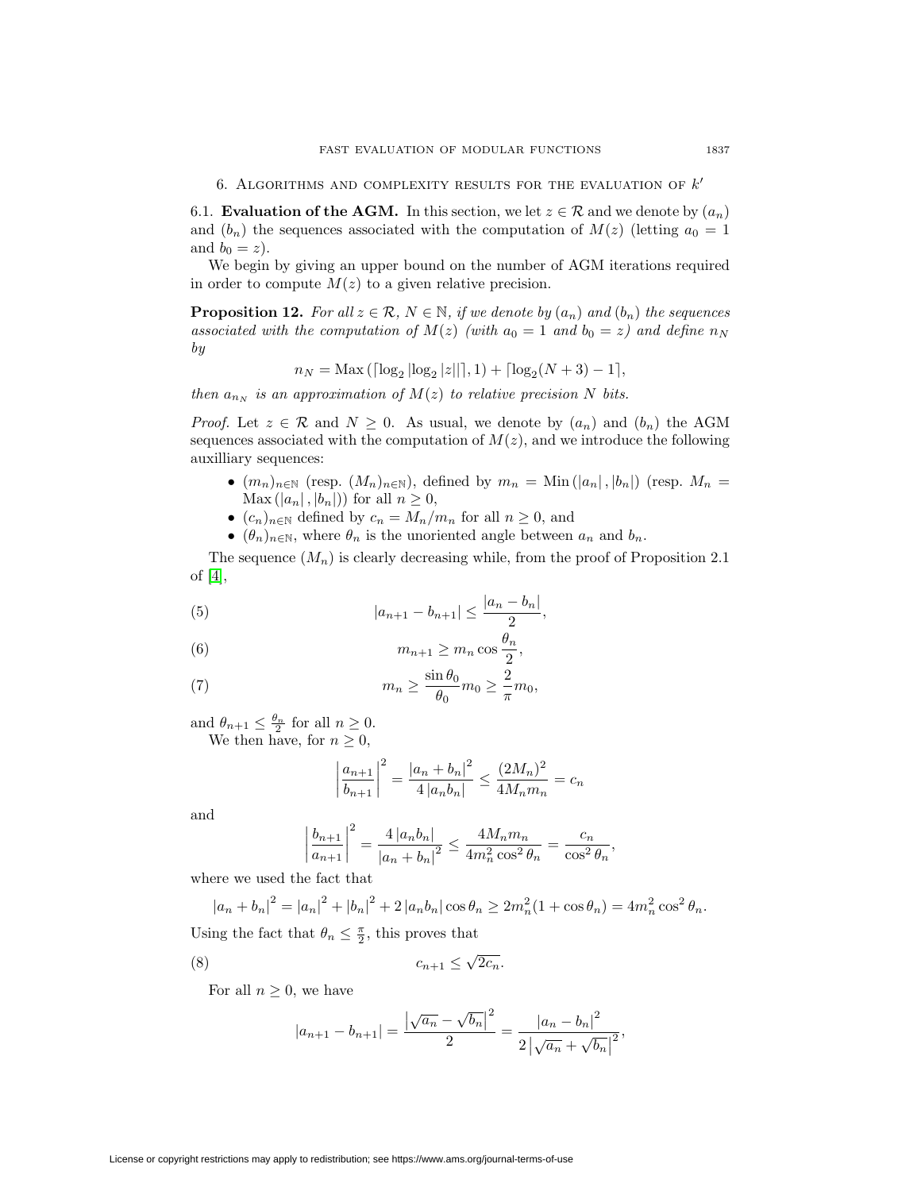6.1. **Evaluation of the AGM.** In this section, we let  $z \in \mathcal{R}$  and we denote by  $(a_n)$ and  $(b_n)$  the sequences associated with the computation of  $M(z)$  (letting  $a_0 = 1$ ) and  $b_0 = z$ ).

We begin by giving an upper bound on the number of AGM iterations required in order to compute  $M(z)$  to a given relative precision.

<span id="page-14-3"></span>**Proposition 12.** For all  $z \in \mathcal{R}$ ,  $N \in \mathbb{N}$ , if we denote by  $(a_n)$  and  $(b_n)$  the sequences associated with the computation of  $M(z)$  (with  $a_0 = 1$  and  $b_0 = z$ ) and define  $n_N$ by

$$
n_N = \text{Max}\left( \left\lceil \log_2 |\log_2 |z|| \right\rceil, 1 \right) + \left\lceil \log_2 (N+3) - 1 \right\rceil,
$$

then  $a_{n_N}$  is an approximation of  $M(z)$  to relative precision N bits.

*Proof.* Let  $z \in \mathcal{R}$  and  $N \geq 0$ . As usual, we denote by  $(a_n)$  and  $(b_n)$  the AGM sequences associated with the computation of  $M(z)$ , and we introduce the following auxilliary sequences:

- $(m_n)_{n\in\mathbb{N}}$  (resp.  $(M_n)_{n\in\mathbb{N}}$ ), defined by  $m_n =$  Min $(|a_n|, |b_n|)$  (resp.  $M_n =$  $\text{Max} (|a_n|, |b_n|)$  for all  $n \geq 0$ ,
- $(c_n)_{n\in\mathbb{N}}$  defined by  $c_n = M_n/m_n$  for all  $n \geq 0$ , and
- $(\theta_n)_{n \in \mathbb{N}}$ , where  $\theta_n$  is the unoriented angle between  $a_n$  and  $b_n$ .

The sequence  $(M_n)$  is clearly decreasing while, from the proof of Proposition 2.1 of [\[4\]](#page-24-6),

<span id="page-14-2"></span>(5) 
$$
|a_{n+1} - b_{n+1}| \leq \frac{|a_n - b_n|}{2},
$$

(6) 
$$
m_{n+1} \geq m_n \cos \frac{\theta_n}{2},
$$

<span id="page-14-1"></span>(7) 
$$
m_n \geq \frac{\sin \theta_0}{\theta_0} m_0 \geq \frac{2}{\pi} m_0,
$$

and  $\theta_{n+1} \leq \frac{\theta_n}{2}$  for all  $n \geq 0$ . We then have, for  $n \geq 0$ ,

$$
\left|\frac{a_{n+1}}{b_{n+1}}\right|^2 = \frac{|a_n + b_n|^2}{4|a_n b_n|} \le \frac{(2M_n)^2}{4M_n m_n} = c_n
$$

and

$$
\left|\frac{b_{n+1}}{a_{n+1}}\right|^2 = \frac{4|a_n b_n|}{|a_n + b_n|^2} \le \frac{4M_n m_n}{4m_n^2 \cos^2 \theta_n} = \frac{c_n}{\cos^2 \theta_n},
$$

where we used the fact that

 $|a_n + b_n|^2 = |a_n|^2 + |b_n|^2 + 2 |a_n b_n| \cos \theta_n \ge 2m_n^2(1 + \cos \theta_n) = 4m_n^2 \cos^2 \theta_n.$ 

Using the fact that  $\theta_n \leq \frac{\pi}{2}$ , this proves that

<span id="page-14-0"></span>
$$
(8) \t\t\t c_{n+1} \leq \sqrt{2c_n}.
$$

For all  $n \geq 0$ , we have

$$
|a_{n+1} - b_{n+1}| = \frac{|\sqrt{a_n} - \sqrt{b_n}|^2}{2} = \frac{|a_n - b_n|^2}{2|\sqrt{a_n} + \sqrt{b_n}|^2},
$$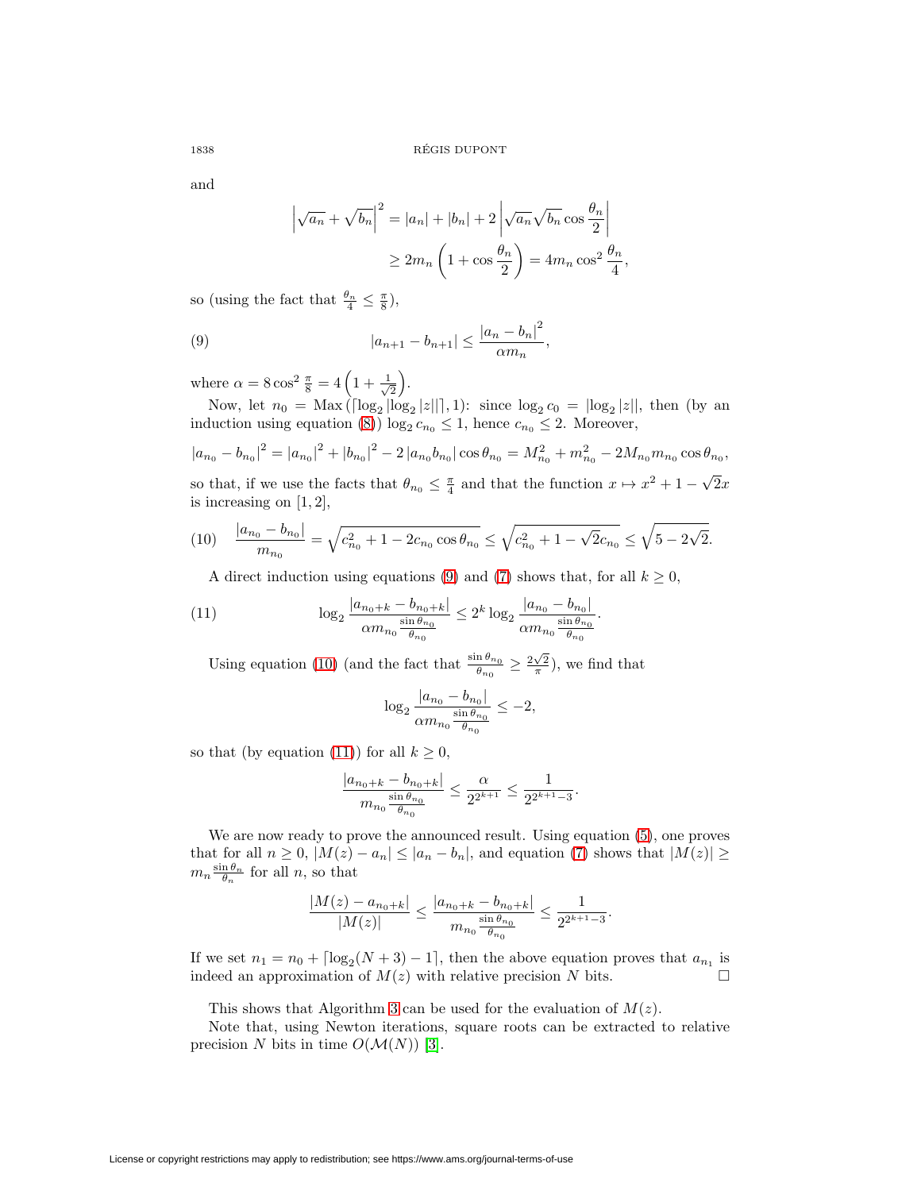and

$$
\left|\sqrt{a_n} + \sqrt{b_n}\right|^2 = |a_n| + |b_n| + 2\left|\sqrt{a_n}\sqrt{b_n}\cos\frac{\theta_n}{2}\right|
$$
  

$$
\ge 2m_n\left(1 + \cos\frac{\theta_n}{2}\right) = 4m_n\cos^2\frac{\theta_n}{4},
$$

so (using the fact that  $\frac{\theta_n}{4} \leq \frac{\pi}{8}$ ),

<span id="page-15-0"></span>(9) 
$$
|a_{n+1} - b_{n+1}| \leq \frac{|a_n - b_n|^2}{\alpha m_n},
$$

where  $\alpha = 8 \cos^2 \frac{\pi}{8} = 4 \left( 1 + \frac{1}{\sqrt{2}} \right)$  $\frac{1}{2}$ .

Now, let  $n_0 = \text{Max}(\lceil \log_2 |\log_2 |z|| \rceil, 1)$ : since  $\log_2 c_0 = \lfloor \log_2 |z||$ , then (by an induction using equation [\(8\)](#page-14-0))  $\log_2 c_{n_0} \leq 1$ , hence  $c_{n_0} \leq 2$ . Moreover,

 $|a_{n_0} - b_{n_0}|^2 = |a_{n_0}|^2 + |b_{n_0}|^2 - 2 |a_{n_0}b_{n_0}| \cos \theta_{n_0} = M_{n_0}^2 + m_{n_0}^2 - 2M_{n_0}m_{n_0} \cos \theta_{n_0}$ so that, if we use the facts that  $\theta_{n_0} \leq \frac{\pi}{4}$  and that the function  $x \mapsto x^2 + 1 - \sqrt{2}x$ is increasing on  $[1, 2]$ ,

<span id="page-15-1"></span>(10) 
$$
\frac{|a_{n_0} - b_{n_0}|}{m_{n_0}} = \sqrt{c_{n_0}^2 + 1 - 2c_{n_0}\cos\theta_{n_0}} \le \sqrt{c_{n_0}^2 + 1 - \sqrt{2}c_{n_0}} \le \sqrt{5 - 2\sqrt{2}}.
$$

A direct induction using equations [\(9\)](#page-15-0) and [\(7\)](#page-14-1) shows that, for all  $k \geq 0$ ,

<span id="page-15-2"></span>(11) 
$$
\log_2 \frac{|a_{n_0+k} - b_{n_0+k}|}{\alpha m_{n_0} \frac{\sin \theta_{n_0}}{\theta_{n_0}}} \leq 2^k \log_2 \frac{|a_{n_0} - b_{n_0}|}{\alpha m_{n_0} \frac{\sin \theta_{n_0}}{\theta_{n_0}}}.
$$

Using equation [\(10\)](#page-15-1) (and the fact that  $\frac{\sin \theta_{n_0}}{\theta_{n_0}} \geq \frac{2\sqrt{2}}{\pi}$ ), we find that

$$
\log_2 \frac{|a_{n_0} - b_{n_0}|}{\alpha m_{n_0} \frac{\sin \theta_{n_0}}{\theta_{n_0}}} \le -2,
$$

so that (by equation [\(11\)](#page-15-2)) for all  $k \geq 0$ ,

$$
\frac{|a_{n_0+k} - b_{n_0+k}|}{m_{n_0} \frac{\sin \theta_{n_0}}{\theta_{n_0}}} \le \frac{\alpha}{2^{2^{k+1}}} \le \frac{1}{2^{2^{k+1}-3}}.
$$

We are now ready to prove the announced result. Using equation [\(5\)](#page-14-2), one proves that for all  $n \geq 0$ ,  $|M(z) - a_n| \leq |a_n - b_n|$ , and equation [\(7\)](#page-14-1) shows that  $|M(z)| \geq$  $m_n \frac{\sin \theta_n}{\theta_n}$  for all n, so that

$$
\frac{|M(z) - a_{n_0+k}|}{|M(z)|} \le \frac{|a_{n_0+k} - b_{n_0+k}|}{m_{n_0} \frac{\sin \theta_{n_0}}{\theta_{n_0}}} \le \frac{1}{2^{2^{k+1}-3}}.
$$

If we set  $n_1 = n_0 + \lceil \log_2(N+3) - 1 \rceil$ , then the above equation proves that  $a_{n_1}$  is indeed an approximation of  $M(z)$  with relative precision N bits.  $\Box$ 

This shows that Algorithm [3](#page-16-0) can be used for the evaluation of  $M(z)$ .

Note that, using Newton iterations, square roots can be extracted to relative precision N bits in time  $O(\mathcal{M}(N))$  [\[3\]](#page-24-9).

License or copyright restrictions may apply to redistribution; see https://www.ams.org/journal-terms-of-use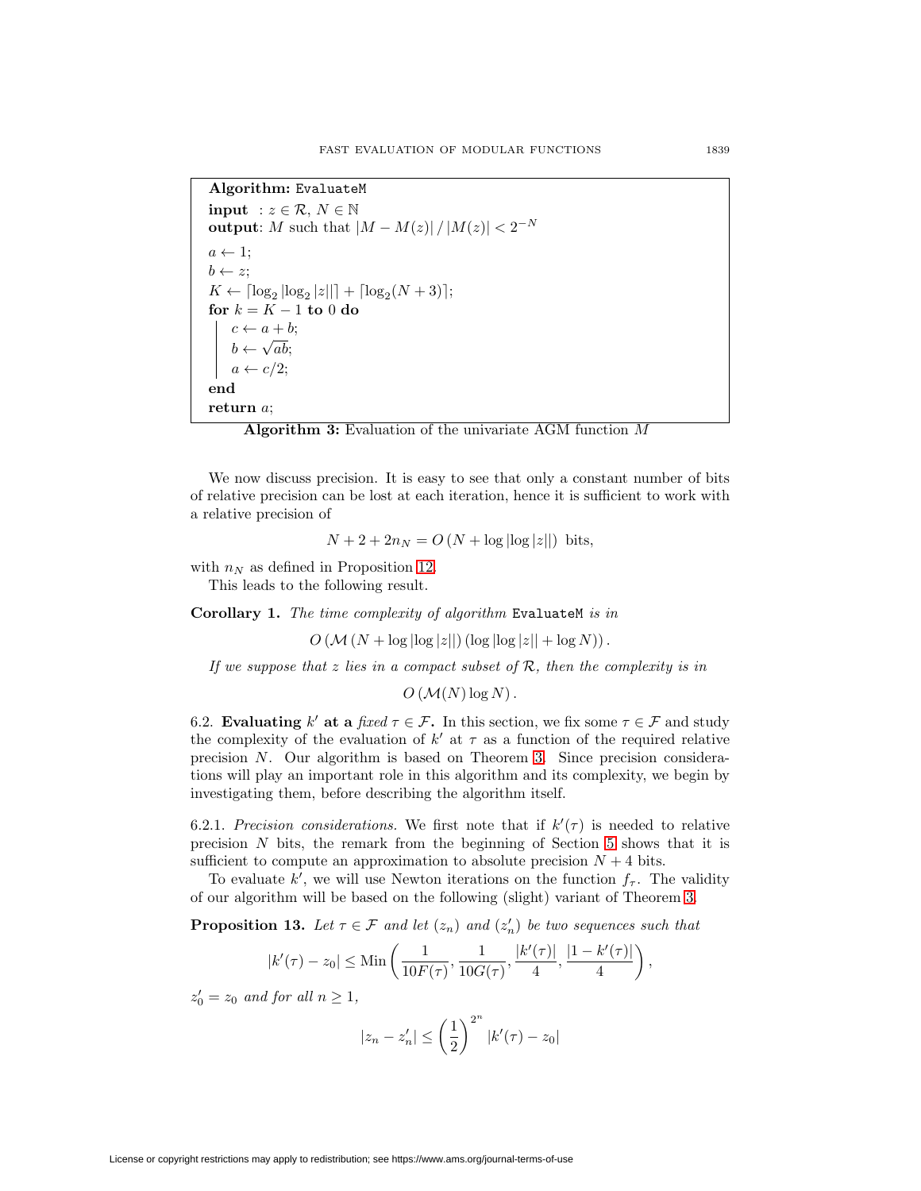```
Algorithm: EvaluateM
input : z \in \mathcal{R}, N \in \mathbb{N}output: M such that |M - M(z)| / |M(z)| < 2^{-N}a \leftarrow 1;
b \leftarrow z;K \leftarrow \lceil \log_2 |\log_2 |z|| \rceil + \lceil \log_2(N+3) \rceil;for k = K - 1 to 0 do
    c \leftarrow a + b;b \leftarrow \sqrt{ab};
    a \leftarrow c/2end
return a;
```
<span id="page-16-0"></span>

We now discuss precision. It is easy to see that only a constant number of bits of relative precision can be lost at each iteration, hence it is sufficient to work with a relative precision of

$$
N + 2 + 2n_N = O(N + \log |\log |z||)
$$
 bits,

with  $n_N$  as defined in Proposition [12.](#page-14-3) This leads to the following result.

**Corollary 1.** The time complexity of algorithm EvaluateM is in

 $O(M(N + \log |\log |z||) (\log |\log |z|| + \log N)).$ 

If we suppose that  $z$  lies in a compact subset of  $R$ , then the complexity is in

 $O(M(N) \log N)$ .

6.2. **Evaluating** k' at a fixed  $\tau \in \mathcal{F}$ . In this section, we fix some  $\tau \in \mathcal{F}$  and study the complexity of the evaluation of  $k'$  at  $\tau$  as a function of the required relative precision N. Our algorithm is based on Theorem [3.](#page-11-1) Since precision considerations will play an important role in this algorithm and its complexity, we begin by investigating them, before describing the algorithm itself.

6.2.1. Precision considerations. We first note that if  $k'(\tau)$  is needed to relative precision N bits, the remark from the beginning of Section [5](#page-9-1) shows that it is sufficient to compute an approximation to absolute precision  $N + 4$  bits.

To evaluate k', we will use Newton iterations on the function  $f_{\tau}$ . The validity of our algorithm will be based on the following (slight) variant of Theorem [3.](#page-11-1)

<span id="page-16-1"></span>**Proposition 13.** Let  $\tau \in \mathcal{F}$  and let  $(z_n)$  and  $(z'_n)$  be two sequences such that

$$
|k'(\tau) - z_0| \leq \text{Min}\left(\frac{1}{10F(\tau)}, \frac{1}{10G(\tau)}, \frac{|k'(\tau)|}{4}, \frac{|1 - k'(\tau)|}{4}\right)
$$

,

 $z'_0 = z_0$  and for all  $n \ge 1$ ,

$$
|z_n - z'_n| \le \left(\frac{1}{2}\right)^{2^n} |k'(\tau) - z_0|
$$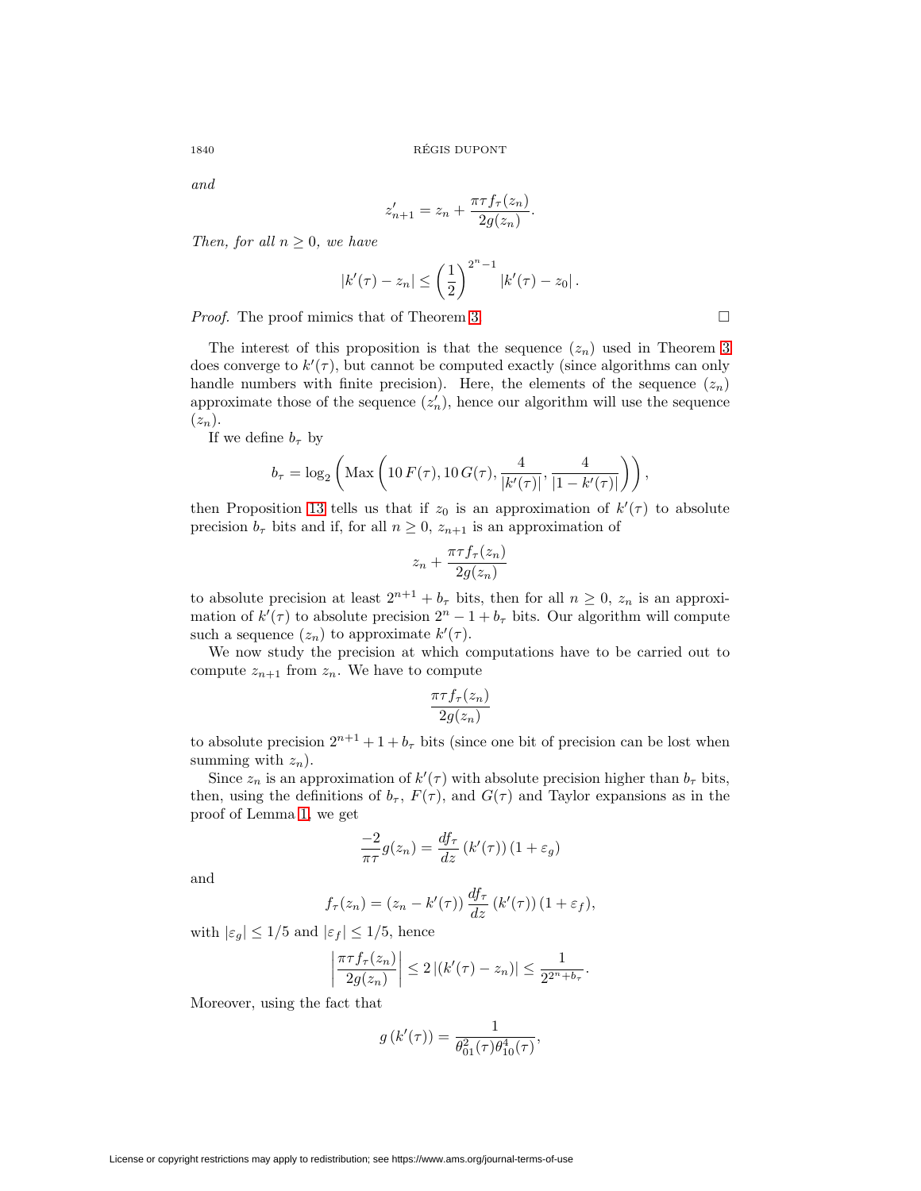and

$$
z'_{n+1} = z_n + \frac{\pi \tau f_{\tau}(z_n)}{2g(z_n)}.
$$

Then, for all  $n \geq 0$ , we have

$$
|k'(\tau) - z_n| \leq \left(\frac{1}{2}\right)^{2^n - 1} |k'(\tau) - z_0|.
$$

Proof. The proof mimics that of Theorem [3.](#page-11-1)

The interest of this proposition is that the sequence  $(z_n)$  used in Theorem [3](#page-11-1) does converge to  $k'(\tau)$ , but cannot be computed exactly (since algorithms can only handle numbers with finite precision). Here, the elements of the sequence  $(z_n)$ approximate those of the sequence  $(z'_n)$ , hence our algorithm will use the sequence  $(z_n).$ 

If we define  $b_{\tau}$  by

$$
b_{\tau} = \log_2 \left( \text{Max} \left( 10 F(\tau), 10 G(\tau), \frac{4}{|k'(\tau)|}, \frac{4}{|1 - k'(\tau)|} \right) \right),\right)
$$

then Proposition [13](#page-16-1) tells us that if  $z_0$  is an approximation of  $k'(\tau)$  to absolute precision  $b_{\tau}$  bits and if, for all  $n \geq 0$ ,  $z_{n+1}$  is an approximation of

$$
z_n + \frac{\pi \tau f_\tau(z_n)}{2g(z_n)}
$$

to absolute precision at least  $2^{n+1} + b_{\tau}$  bits, then for all  $n \geq 0$ ,  $z_n$  is an approximation of  $k'(\tau)$  to absolute precision  $2^{n} - 1 + b_{\tau}$  bits. Our algorithm will compute such a sequence  $(z_n)$  to approximate  $k'(\tau)$ .

We now study the precision at which computations have to be carried out to compute  $z_{n+1}$  from  $z_n$ . We have to compute

$$
\frac{\pi\tau f_{\tau}(z_n)}{2g(z_n)}
$$

to absolute precision  $2^{n+1} + 1 + b_{\tau}$  bits (since one bit of precision can be lost when summing with  $z_n$ ).

Since  $z_n$  is an approximation of  $k'(\tau)$  with absolute precision higher than  $b_\tau$  bits, then, using the definitions of  $b_{\tau}$ ,  $F(\tau)$ , and  $G(\tau)$  and Taylor expansions as in the proof of Lemma [1,](#page-11-2) we get

$$
\frac{-2}{\pi\tau}g(z_n) = \frac{df_\tau}{dz}\left(k'(\tau)\right)\left(1 + \varepsilon_g\right)
$$

and

$$
f_{\tau}(z_n) = (z_n - k'(\tau)) \frac{df_{\tau}}{dz} (k'(\tau)) (1 + \varepsilon_f),
$$

with  $|\varepsilon_g| \leq 1/5$  and  $|\varepsilon_f| \leq 1/5$ , hence

$$
\left|\frac{\pi\tau f_{\tau}(z_n)}{2g(z_n)}\right| \leq 2\left|(k'(\tau)-z_n)\right| \leq \frac{1}{2^{2^n+b_{\tau}}}.
$$

Moreover, using the fact that

$$
g(k'(\tau)) = \frac{1}{\theta_{01}^2(\tau)\theta_{10}^4(\tau)},
$$

 $\Box$ 

License or copyright restrictions may apply to redistribution; see https://www.ams.org/journal-terms-of-use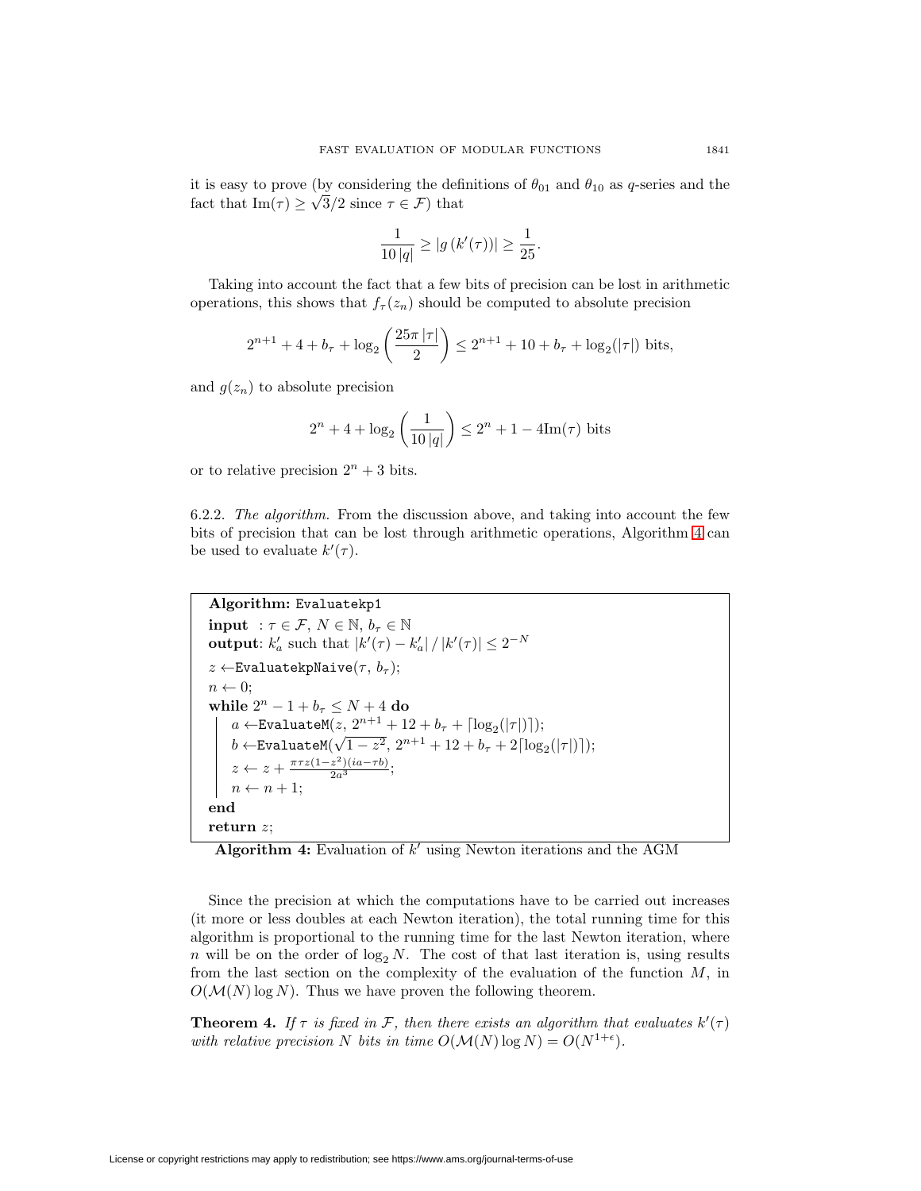it is easy to prove (by considering the definitions of  $\theta_{01}$  and  $\theta_{10}$  as q-series and the fact that  $\text{Im}(\tau) \geq \sqrt{3}/2$  since  $\tau \in \mathcal{F}$ ) that

$$
\frac{1}{10|q|} \ge |g(k'(\tau))| \ge \frac{1}{25}.
$$

Taking into account the fact that a few bits of precision can be lost in arithmetic operations, this shows that  $f_{\tau}(z_n)$  should be computed to absolute precision

$$
2^{n+1} + 4 + b_{\tau} + \log_2\left(\frac{25\pi|\tau|}{2}\right) \le 2^{n+1} + 10 + b_{\tau} + \log_2(|\tau|) \text{ bits},
$$

and  $g(z_n)$  to absolute precision

$$
2^{n} + 4 + \log_2\left(\frac{1}{10|q|}\right) \le 2^{n} + 1 - 4\text{Im}(\tau)
$$
 bits

or to relative precision  $2^n + 3$  bits.

6.2.2. The algorithm. From the discussion above, and taking into account the few bits of precision that can be lost through arithmetic operations, Algorithm [4](#page-18-0) can be used to evaluate  $k'(\tau)$ .

```
Algorithm: Evaluatekp1
input : \tau \in \mathcal{F}, N \in \mathbb{N}, b_{\tau} \in \mathbb{N}output: k'_a such that |k'(\tau) - k'_a| / |k'(\tau)| \leq 2^{-N}z \leftarrowEvaluatekpNaive(\tau, b_{\tau});n \leftarrow 0;
while 2^n-1+b_\tau\leq N+4 do
      a \leftarrowEvaluateM(z, 2^{n+1} + 12 + b_\tau + \lceil \log_2(|\tau|) \rceil);b \leftarrow \text{EvaluateM}(\sqrt{1-z^2}, 2^{n+1} + 12 + b_\tau + 2\lceil \log_2(|\tau|) \rceil);z \leftarrow z + \frac{\pi \tau z (1 - z^2)(ia - \tau b)}{2a^3};n \leftarrow n + 1;
end
return z;
```
<span id="page-18-0"></span>Algorithm 4: Evaluation of k' using Newton iterations and the AGM

Since the precision at which the computations have to be carried out increases (it more or less doubles at each Newton iteration), the total running time for this algorithm is proportional to the running time for the last Newton iteration, where n will be on the order of  $\log_2 N$ . The cost of that last iteration is, using results from the last section on the complexity of the evaluation of the function  $M$ , in  $O(\mathcal{M}(N) \log N)$ . Thus we have proven the following theorem.

<span id="page-18-1"></span>**Theorem 4.** If  $\tau$  is fixed in F, then there exists an algorithm that evaluates  $k'(\tau)$ with relative precision N bits in time  $O(\mathcal{M}(N) \log N) = O(N^{1+\epsilon}).$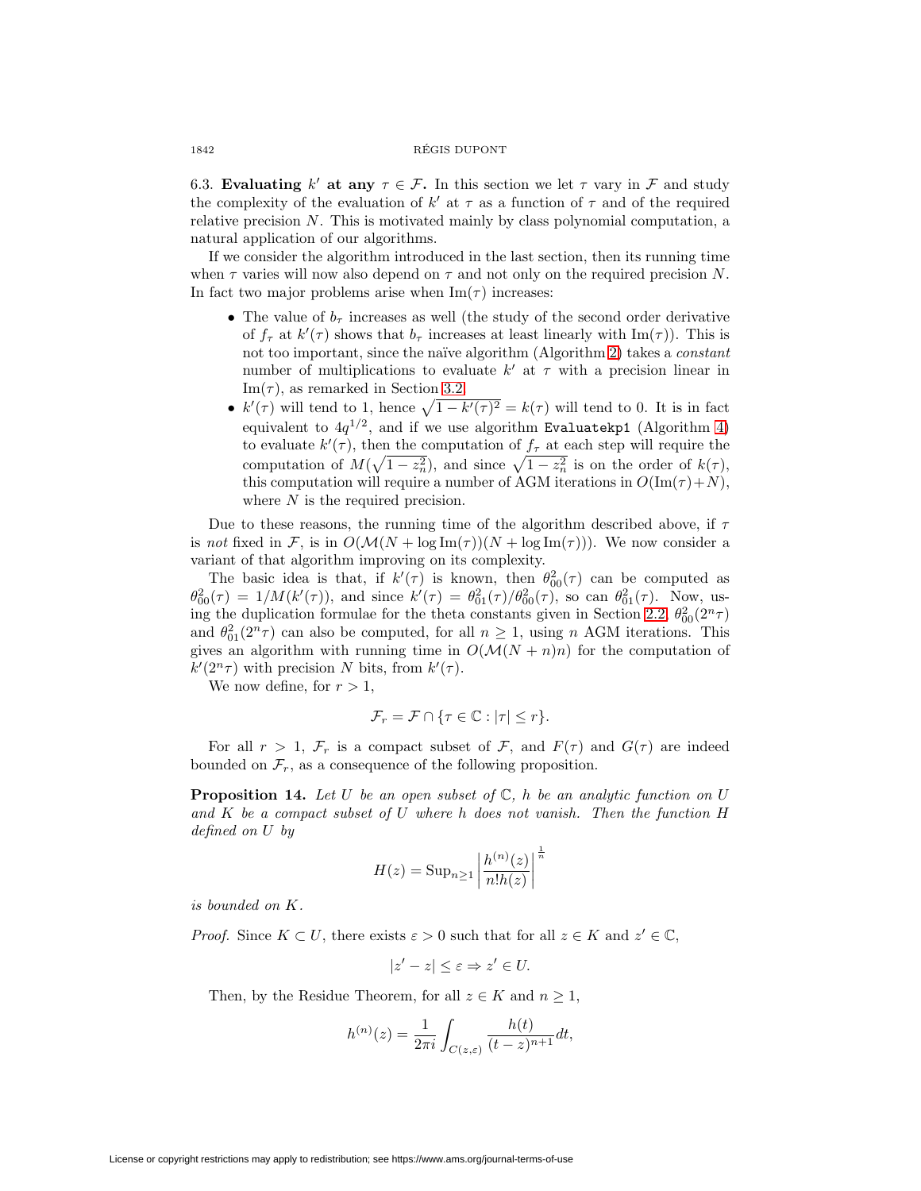#### 1842 REGIS DUPONT ´

6.3. **Evaluating** k' at any  $\tau \in \mathcal{F}$ . In this section we let  $\tau$  vary in  $\mathcal{F}$  and study the complexity of the evaluation of  $k'$  at  $\tau$  as a function of  $\tau$  and of the required relative precision  $N$ . This is motivated mainly by class polynomial computation, a natural application of our algorithms.

If we consider the algorithm introduced in the last section, then its running time when  $\tau$  varies will now also depend on  $\tau$  and not only on the required precision N. In fact two major problems arise when  $\text{Im}(\tau)$  increases:

- The value of  $b<sub>\tau</sub>$  increases as well (the study of the second order derivative of  $f_{\tau}$  at  $k'(\tau)$  shows that  $b_{\tau}$  increases at least linearly with  $\text{Im}(\tau)$ ). This is not too important, since the naïve algorithm (Algorithm [2\)](#page-6-0) takes a *constant* number of multiplications to evaluate  $k'$  at  $\tau$  with a precision linear in Im( $\tau$ ), as remarked in Section [3.2.](#page-4-0)
- $k'(\tau)$  will tend to 1, hence  $\sqrt{1-k'(\tau)^2} = k(\tau)$  will tend to 0. It is in fact equivalent to  $4q^{1/2}$ , and if we use algorithm Evaluatekp1 (Algorithm [4\)](#page-18-0) to evaluate  $k'(\tau)$ , then the computation of  $f_{\tau}$  at each step will require the computation of  $M(\sqrt{1-z_n^2})$ , and since  $\sqrt{1-z_n^2}$  is on the order of  $k(\tau)$ , this computation will require a number of AGM iterations in  $O(\text{Im}(\tau) + N)$ , where N is the required precision.

Due to these reasons, the running time of the algorithm described above, if  $\tau$ is not fixed in F, is in  $O(\mathcal{M}(N + \log \text{Im}(\tau)))(N + \log \text{Im}(\tau)))$ . We now consider a variant of that algorithm improving on its complexity.

The basic idea is that, if  $k'(\tau)$  is known, then  $\theta_{00}^2(\tau)$  can be computed as  $\theta_{00}^2(\tau) = 1/M(k'(\tau))$ , and since  $k'(\tau) = \theta_{01}^2(\tau)/\theta_{00}^2(\tau)$ , so can  $\theta_{01}^2(\tau)$ . Now, us-ing the duplication formulae for the theta constants given in Section [2.2,](#page-1-0)  $\theta_{00}^2(2^n \tau)$ and  $\theta_{01}^2(2^n \tau)$  can also be computed, for all  $n \geq 1$ , using n AGM iterations. This gives an algorithm with running time in  $O(\mathcal{M}(N + n)n)$  for the computation of  $k'(2^n \tau)$  with precision N bits, from  $k'(\tau)$ .

We now define, for  $r > 1$ ,

$$
\mathcal{F}_r = \mathcal{F} \cap \{ \tau \in \mathbb{C} : |\tau| \le r \}.
$$

For all  $r > 1$ ,  $\mathcal{F}_r$  is a compact subset of  $\mathcal{F}_r$ , and  $F(\tau)$  and  $G(\tau)$  are indeed bounded on  $\mathcal{F}_r$ , as a consequence of the following proposition.

**Proposition 14.** Let U be an open subset of  $\mathbb{C}$ , h be an analytic function on U and K be a compact subset of U where h does not vanish. Then the function H defined on U by

$$
H(z) = \text{Sup}_{n \ge 1} \left| \frac{h^{(n)}(z)}{n! h(z)} \right|^{\frac{1}{n}}
$$

is bounded on K.

*Proof.* Since  $K \subset U$ , there exists  $\varepsilon > 0$  such that for all  $z \in K$  and  $z' \in \mathbb{C}$ ,

 $|z'-z|\leq \varepsilon \Rightarrow z'\in U.$ 

Then, by the Residue Theorem, for all  $z \in K$  and  $n \geq 1$ ,

$$
h^{(n)}(z) = \frac{1}{2\pi i} \int_{C(z,\varepsilon)} \frac{h(t)}{(t-z)^{n+1}} dt,
$$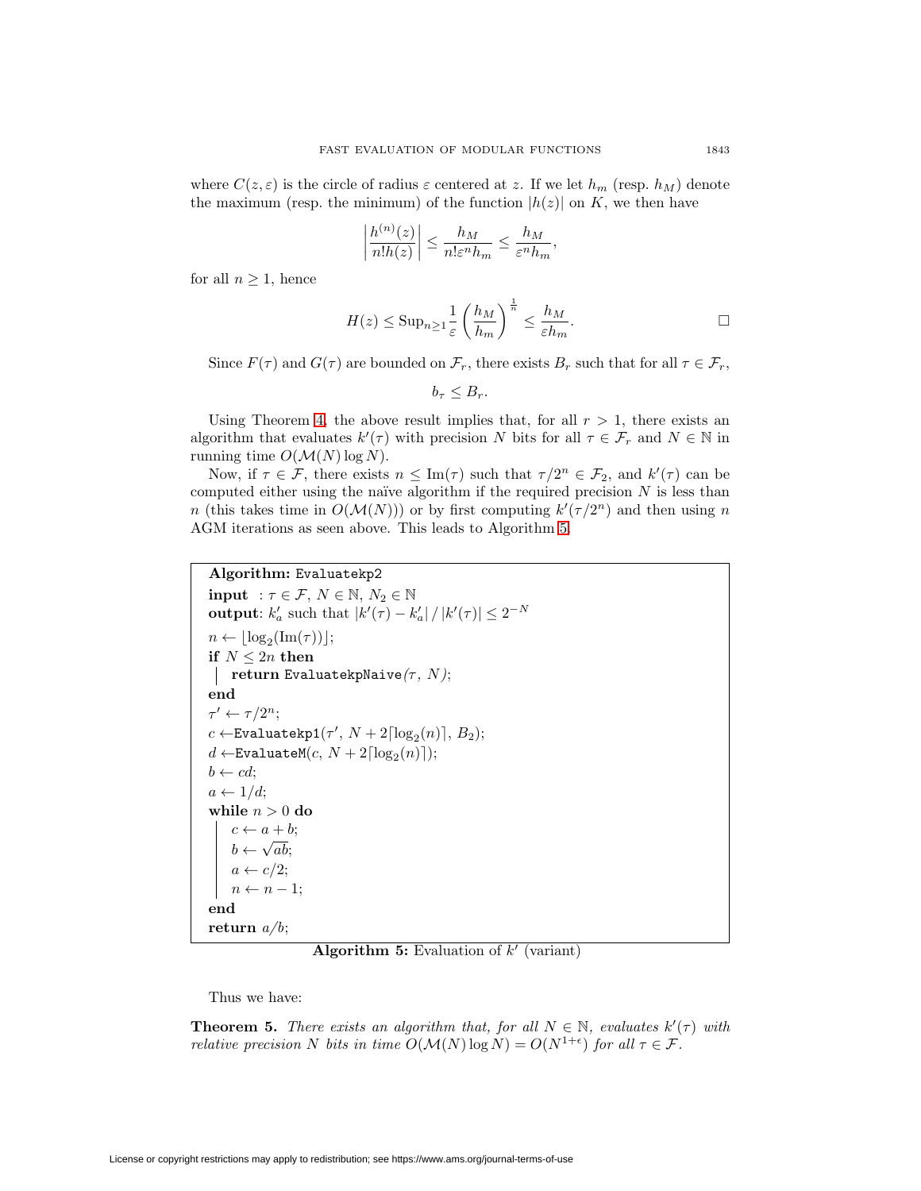where  $C(z, \varepsilon)$  is the circle of radius  $\varepsilon$  centered at z. If we let  $h_m$  (resp.  $h_M$ ) denote the maximum (resp. the minimum) of the function  $|h(z)|$  on K, we then have

$$
\left|\frac{h^{(n)}(z)}{n!h(z)}\right| \le \frac{h_M}{n!\varepsilon^n h_m} \le \frac{h_M}{\varepsilon^n h_m},
$$

for all  $n \geq 1$ , hence

$$
H(z) \leq \operatorname{Sup}_{n \geq 1} \frac{1}{\varepsilon} \left( \frac{h_M}{h_m} \right)^{\frac{1}{n}} \leq \frac{h_M}{\varepsilon h_m}.
$$

Since  $F(\tau)$  and  $G(\tau)$  are bounded on  $\mathcal{F}_r$ , there exists  $B_r$  such that for all  $\tau \in \mathcal{F}_r$ ,

 $b<sub>\tau</sub> < B<sub>r</sub>$ .

Using Theorem [4,](#page-18-1) the above result implies that, for all  $r > 1$ , there exists an algorithm that evaluates  $k'(\tau)$  with precision N bits for all  $\tau \in \mathcal{F}_r$  and  $N \in \mathbb{N}$  in running time  $O(\mathcal{M}(N) \log N)$ .

Now, if  $\tau \in \mathcal{F}$ , there exists  $n \leq \text{Im}(\tau)$  such that  $\tau/2^n \in \mathcal{F}_2$ , and  $k'(\tau)$  can be computed either using the naïve algorithm if the required precision  $N$  is less than n (this takes time in  $O(\mathcal{M}(N)))$  or by first computing  $k'(\tau/2^n)$  and then using n AGM iterations as seen above. This leads to Algorithm [5.](#page-20-0)

```
Algorithm: Evaluatekp2
input : \tau \in \mathcal{F}, N \in \mathbb{N}, N_2 \in \mathbb{N}output: k'_a such that |k'(\tau) - k'_a| / |k'(\tau)| \leq 2^{-N}n \leftarrow \lfloor \log_2(\text{Im}(\tau)) \rfloor;if N \leq 2n then
 return EvaluatekpNaive(\tau, N);end
\tau' \leftarrow \tau/2^n;c \leftarrowEvaluatekp1(\tau', N + 2\lceil \log_2(n) \rceil, B_2);d \leftarrowEvaluateM(c, N + 2\lceil \log_2(n) \rceil);b \leftarrow cd;a \leftarrow 1/d;while n > 0 do
     c \leftarrow a + b;
     b \leftarrow \sqrt{ab};
     a \leftarrow c/2;n \leftarrow n-1end
return a/b;
```
**Algorithm 5:** Evaluation of  $k'$  (variant)

<span id="page-20-0"></span>Thus we have:

**Theorem 5.** There exists an algorithm that, for all  $N \in \mathbb{N}$ , evaluates  $k'(\tau)$  with relative precision N bits in time  $O(\mathcal{M}(N) \log N) = O(N^{1+\epsilon})$  for all  $\tau \in \mathcal{F}$ .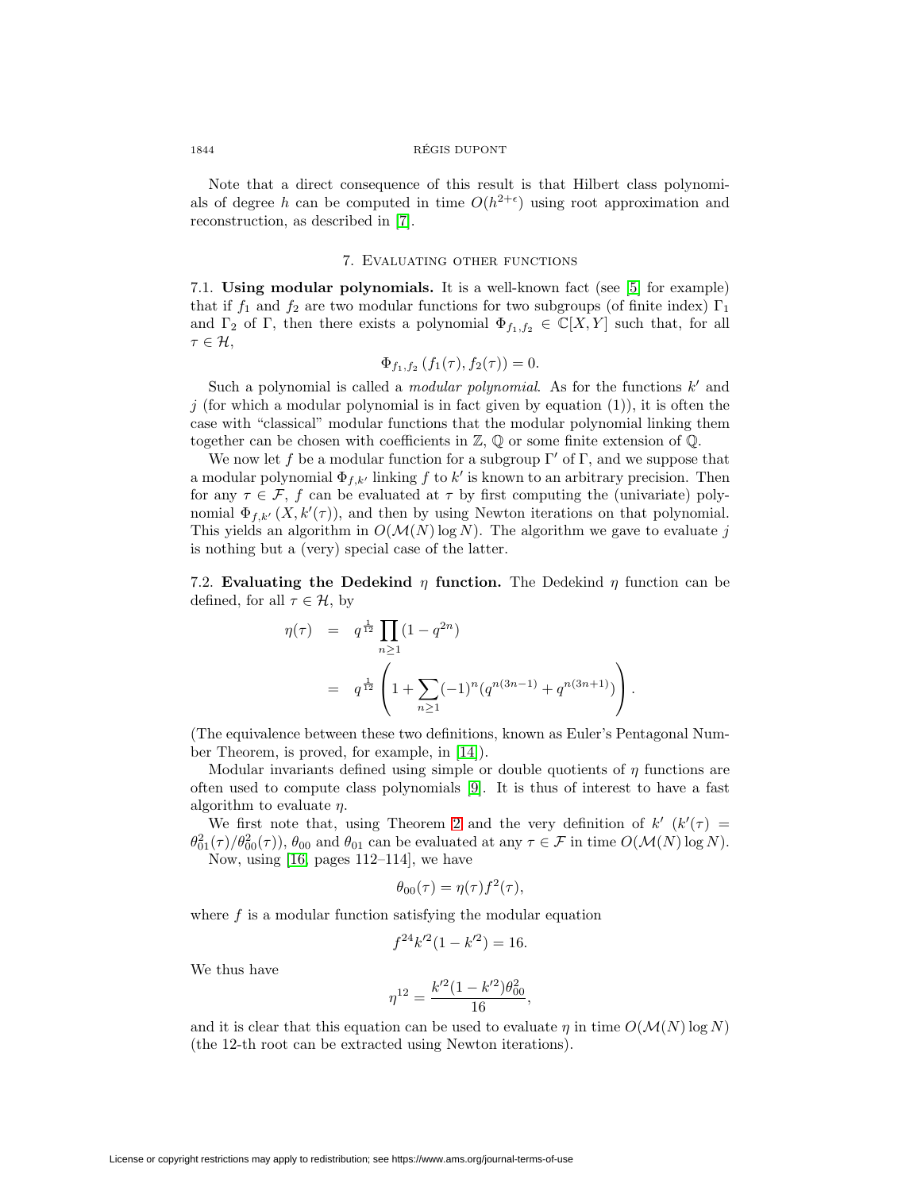### 1844 REGIS DUPONT ´

Note that a direct consequence of this result is that Hilbert class polynomials of degree h can be computed in time  $O(h^{2+\epsilon})$  using root approximation and reconstruction, as described in [\[7\]](#page-24-0).

#### 7. Evaluating other functions

7.1. **Using modular polynomials.** It is a well-known fact (see [\[5\]](#page-24-11) for example) that if  $f_1$  and  $f_2$  are two modular functions for two subgroups (of finite index)  $\Gamma_1$ and  $\Gamma_2$  of  $\Gamma$ , then there exists a polynomial  $\Phi_{f_1,f_2} \in \mathbb{C}[X,Y]$  such that, for all  $\tau \in \mathcal{H}$ ,

$$
\Phi_{f_1,f_2}(f_1(\tau),f_2(\tau)) = 0.
$$

Such a polynomial is called a *modular polynomial*. As for the functions  $k'$  and j (for which a modular polynomial is in fact given by equation  $(1)$ ), it is often the case with "classical" modular functions that the modular polynomial linking them together can be chosen with coefficients in  $\mathbb{Z}, \mathbb{Q}$  or some finite extension of  $\mathbb{Q}$ .

We now let f be a modular function for a subgroup  $\Gamma'$  of  $\Gamma$ , and we suppose that a modular polynomial  $\Phi_{f,k'}$  linking f to k' is known to an arbitrary precision. Then for any  $\tau \in \mathcal{F}$ , f can be evaluated at  $\tau$  by first computing the (univariate) polynomial  $\Phi_{f,k'}(X, k'(\tau))$ , and then by using Newton iterations on that polynomial. This yields an algorithm in  $O(M(N) \log N)$ . The algorithm we gave to evaluate j is nothing but a (very) special case of the latter.

7.2. **Evaluating the Dedekind**  $\eta$  **function.** The Dedekind  $\eta$  function can be defined, for all  $\tau \in \mathcal{H}$ , by

$$
\eta(\tau) = q^{\frac{1}{12}} \prod_{n\geq 1} (1 - q^{2n})
$$
  
=  $q^{\frac{1}{12}} \left( 1 + \sum_{n\geq 1} (-1)^n (q^{n(3n-1)} + q^{n(3n+1)}) \right).$ 

(The equivalence between these two definitions, known as Euler's Pentagonal Number Theorem, is proved, for example, in [\[14\]](#page-24-4)).

Modular invariants defined using simple or double quotients of  $\eta$  functions are often used to compute class polynomials [\[9\]](#page-24-12). It is thus of interest to have a fast algorithm to evaluate  $\eta$ .

We first note that, using Theorem [2](#page-8-1) and the very definition of  $k'$   $(k'(\tau))$  $\theta_{01}^2(\tau)/\theta_{00}^2(\tau)$ ,  $\theta_{00}$  and  $\theta_{01}$  can be evaluated at any  $\tau \in \mathcal{F}$  in time  $O(\mathcal{M}(N) \log N)$ . Now, using [\[16,](#page-24-5) pages 112–114], we have

$$
\theta_{00}(\tau) = \eta(\tau) f^2(\tau),
$$

where  $f$  is a modular function satisfying the modular equation

$$
f^{24}k'^2(1 - k'^2) = 16.
$$

We thus have

$$
\eta^{12} = \frac{k'^2 (1 - k'^2) \theta_{00}^2}{16},
$$

and it is clear that this equation can be used to evaluate  $\eta$  in time  $O(\mathcal{M}(N) \log N)$ (the 12-th root can be extracted using Newton iterations).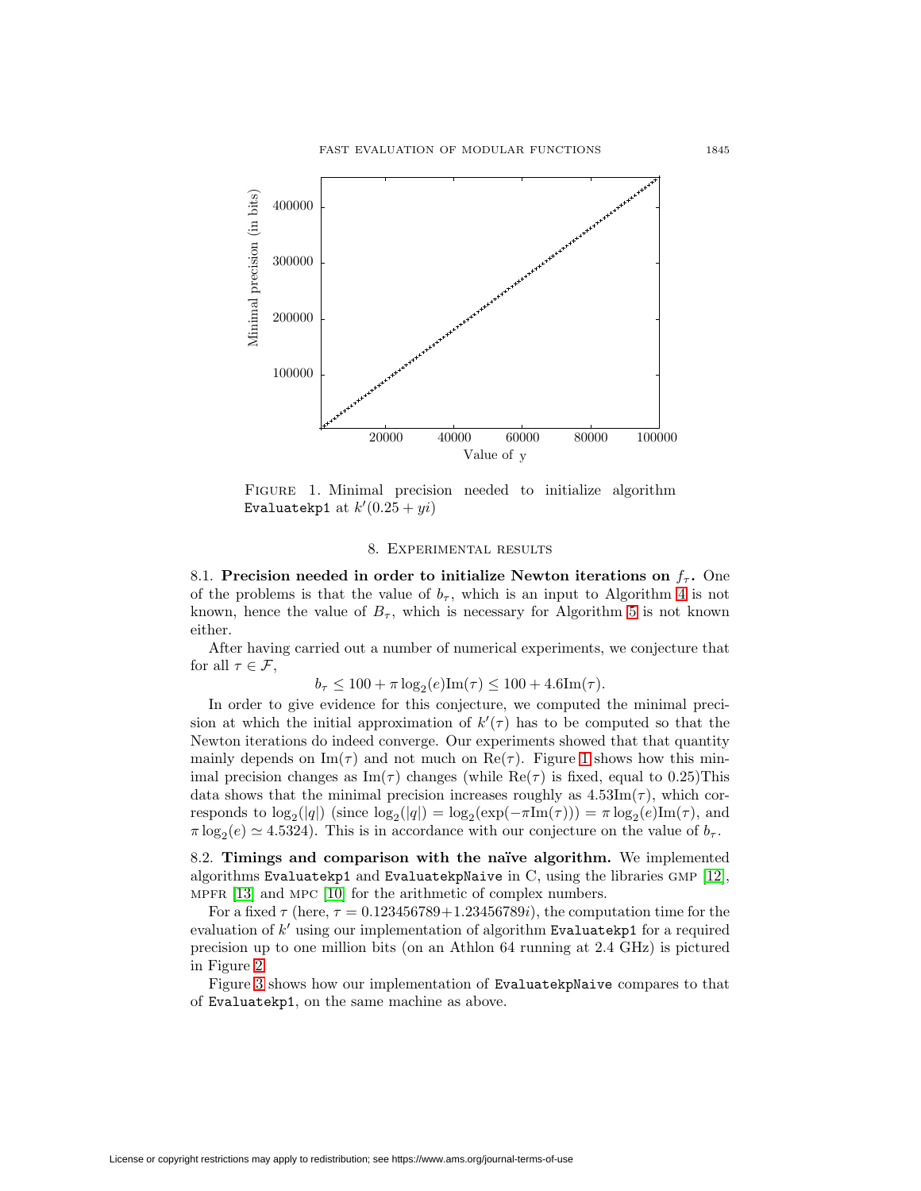

Figure 1. Minimal precision needed to initialize algorithm Evaluatekp1 at  $k'(0.25 + yi)$ 

## <span id="page-22-0"></span>8. Experimental results

8.1. **Precision needed in order to initialize Newton iterations on**  $f_{\tau}$ **.** One of the problems is that the value of  $b_{\tau}$ , which is an input to Algorithm [4](#page-18-0) is not known, hence the value of  $B_{\tau}$ , which is necessary for Algorithm [5](#page-20-0) is not known either.

After having carried out a number of numerical experiments, we conjecture that for all  $\tau \in \mathcal{F}$ ,

 $b_{\tau} \leq 100 + \pi \log_2(e) \text{Im}(\tau) \leq 100 + 4.6 \text{Im}(\tau).$ 

In order to give evidence for this conjecture, we computed the minimal precision at which the initial approximation of  $k'(\tau)$  has to be computed so that the Newton iterations do indeed converge. Our experiments showed that that quantity mainly depends on  $\text{Im}(\tau)$  and not much on  $\text{Re}(\tau)$ . Figure [1](#page-22-0) shows how this minimal precision changes as  $\text{Im}(\tau)$  changes (while  $\text{Re}(\tau)$  is fixed, equal to 0.25) This data shows that the minimal precision increases roughly as  $4.53\text{Im}(\tau)$ , which corresponds to  $\log_2(|q|)$  (since  $\log_2(|q|) = \log_2(\exp(-\pi \text{Im}(\tau))) = \pi \log_2(e) \text{Im}(\tau)$ , and  $\pi \log_2(e) \simeq 4.5324$ . This is in accordance with our conjecture on the value of  $b_\tau$ .

8.2. **Timings and comparison with the na¨ıve algorithm.** We implemented algorithms Evaluatekp1 and EvaluatekpNaive in C, using the libraries gmp [\[12\]](#page-24-13), MPFR [\[13\]](#page-24-14) and MPC [\[10\]](#page-24-15) for the arithmetic of complex numbers.

For a fixed  $\tau$  (here,  $\tau = 0.123456789 + 1.23456789i$ ), the computation time for the evaluation of  $k'$  using our implementation of algorithm Evaluatekp1 for a required precision up to one million bits (on an Athlon 64 running at 2.4 GHz) is pictured in Figure [2.](#page-23-0)

Figure [3](#page-23-1) shows how our implementation of EvaluatekpNaive compares to that of Evaluatekp1, on the same machine as above.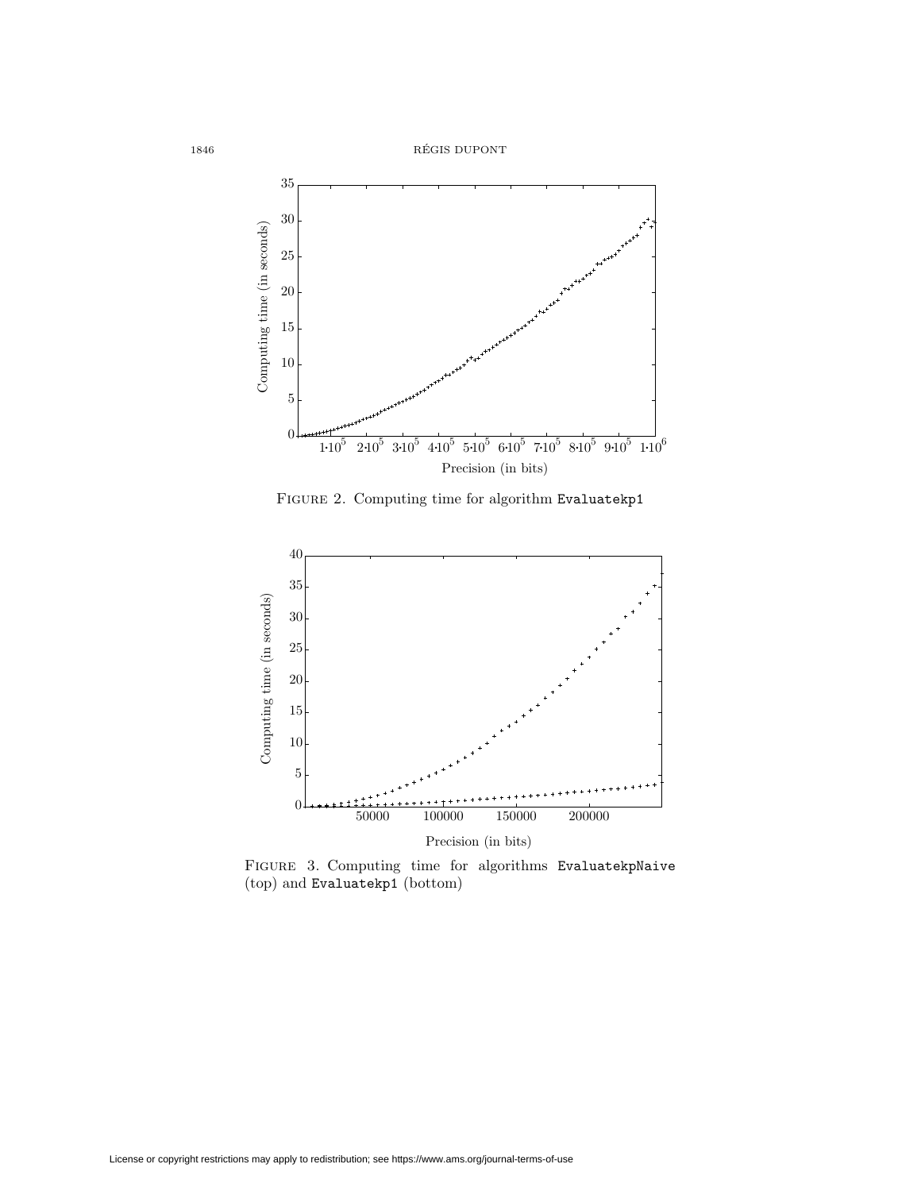${\bf R} \verb|ÉGIS DUPONT|$ 



<span id="page-23-0"></span>FIGURE 2. Computing time for algorithm Evaluatekp1



<span id="page-23-1"></span>Figure 3. Computing time for algorithms EvaluatekpNaive (top) and Evaluatekp1 (bottom)